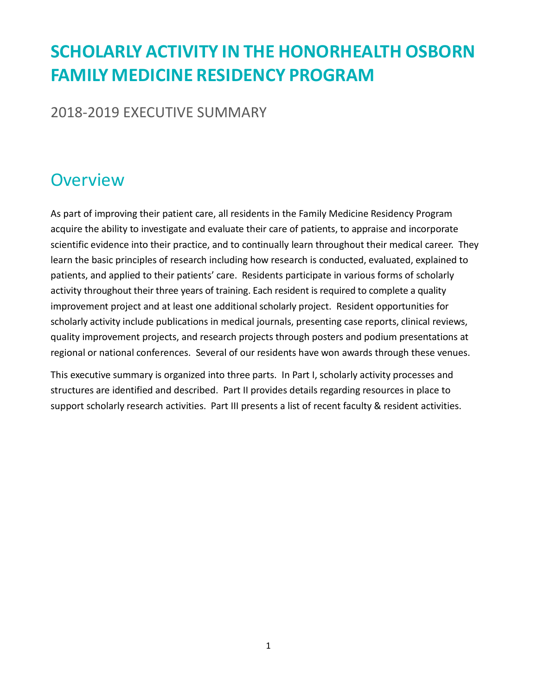# **SCHOLARLY ACTIVITY IN THE HONORHEALTH OSBORN FAMILY MEDICINE RESIDENCY PROGRAM**

2018-2019 EXECUTIVE SUMMARY

## **Overview**

As part of improving their patient care, all residents in the Family Medicine Residency Program acquire the ability to investigate and evaluate their care of patients, to appraise and incorporate scientific evidence into their practice, and to continually learn throughout their medical career. They learn the basic principles of research including how research is conducted, evaluated, explained to patients, and applied to their patients' care. Residents participate in various forms of scholarly activity throughout their three years of training. Each resident is required to complete a quality improvement project and at least one additional scholarly project. Resident opportunities for scholarly activity include publications in medical journals, presenting case reports, clinical reviews, quality improvement projects, and research projects through posters and podium presentations at regional or national conferences. Several of our residents have won awards through these venues.

This executive summary is organized into three parts. In Part I, scholarly activity processes and structures are identified and described. Part II provides details regarding resources in place to support scholarly research activities. Part III presents a list of recent faculty & resident activities.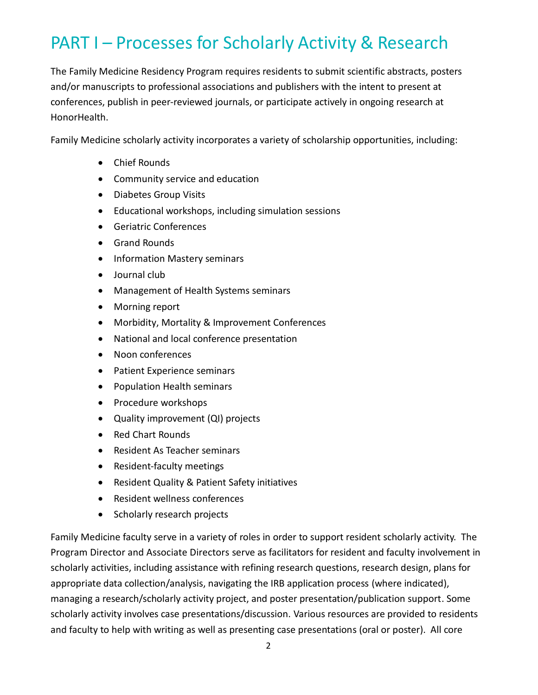# PART I – Processes for Scholarly Activity & Research

The Family Medicine Residency Program requires residents to submit scientific abstracts, posters and/or manuscripts to professional associations and publishers with the intent to present at conferences, publish in peer-reviewed journals, or participate actively in ongoing research at HonorHealth.

Family Medicine scholarly activity incorporates a variety of scholarship opportunities, including:

- Chief Rounds
- Community service and education
- Diabetes Group Visits
- Educational workshops, including simulation sessions
- Geriatric Conferences
- **•** Grand Rounds
- Information Mastery seminars
- Journal club
- Management of Health Systems seminars
- Morning report
- Morbidity, Mortality & Improvement Conferences
- National and local conference presentation
- Noon conferences
- Patient Experience seminars
- Population Health seminars
- Procedure workshops
- Quality improvement (QI) projects
- Red Chart Rounds
- Resident As Teacher seminars
- Resident-faculty meetings
- Resident Quality & Patient Safety initiatives
- Resident wellness conferences
- Scholarly research projects

Family Medicine faculty serve in a variety of roles in order to support resident scholarly activity. The Program Director and Associate Directors serve as facilitators for resident and faculty involvement in scholarly activities, including assistance with refining research questions, research design, plans for appropriate data collection/analysis, navigating the IRB application process (where indicated), managing a research/scholarly activity project, and poster presentation/publication support. Some scholarly activity involves case presentations/discussion. Various resources are provided to residents and faculty to help with writing as well as presenting case presentations (oral or poster). All core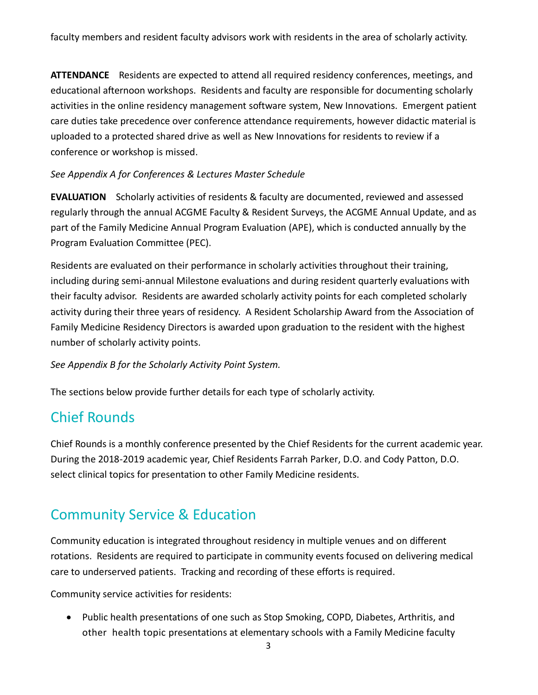**ATTENDANCE** Residents are expected to attend all required residency conferences, meetings, and educational afternoon workshops. Residents and faculty are responsible for documenting scholarly activities in the online residency management software system, New Innovations. Emergent patient care duties take precedence over conference attendance requirements, however didactic material is uploaded to a protected shared drive as well as New Innovations for residents to review if a conference or workshop is missed.

#### *See Appendix A for Conferences & Lectures Master Schedule*

**EVALUATION** Scholarly activities of residents & faculty are documented, reviewed and assessed regularly through the annual ACGME Faculty & Resident Surveys, the ACGME Annual Update, and as part of the Family Medicine Annual Program Evaluation (APE), which is conducted annually by the Program Evaluation Committee (PEC).

Residents are evaluated on their performance in scholarly activities throughout their training, including during semi-annual Milestone evaluations and during resident quarterly evaluations with their faculty advisor. Residents are awarded scholarly activity points for each completed scholarly activity during their three years of residency. A Resident Scholarship Award from the Association of Family Medicine Residency Directors is awarded upon graduation to the resident with the highest number of scholarly activity points.

*See Appendix B for the Scholarly Activity Point System.*

The sections below provide further details for each type of scholarly activity.

### Chief Rounds

Chief Rounds is a monthly conference presented by the Chief Residents for the current academic year. During the 2018-2019 academic year, Chief Residents Farrah Parker, D.O. and Cody Patton, D.O. select clinical topics for presentation to other Family Medicine residents.

### Community Service & Education

Community education is integrated throughout residency in multiple venues and on different rotations. Residents are required to participate in community events focused on delivering medical care to underserved patients. Tracking and recording of these efforts is required.

Community service activities for residents:

• Public health presentations of one such as Stop Smoking, COPD, Diabetes, Arthritis, and other health topic presentations at elementary schools with a Family Medicine faculty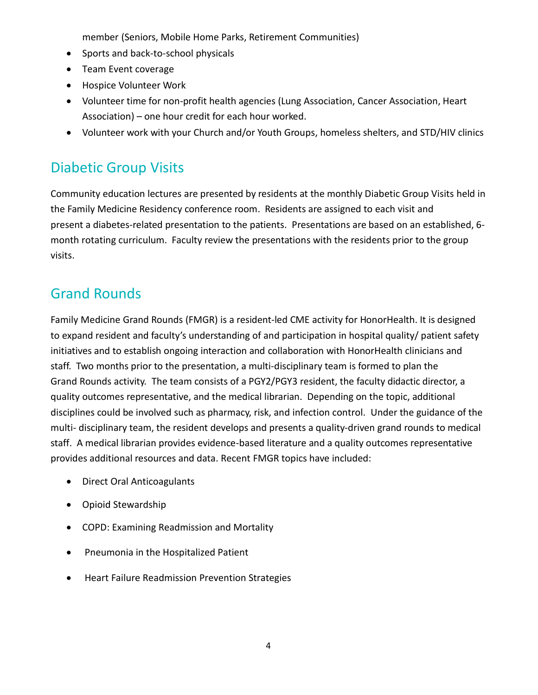member (Seniors, Mobile Home Parks, Retirement Communities)

- Sports and back-to-school physicals
- Team Event coverage
- Hospice Volunteer Work
- Volunteer time for non-profit health agencies (Lung Association, Cancer Association, Heart Association) – one hour credit for each hour worked.
- Volunteer work with your Church and/or Youth Groups, homeless shelters, and STD/HIV clinics

### Diabetic Group Visits

Community education lectures are presented by residents at the monthly Diabetic Group Visits held in the Family Medicine Residency conference room. Residents are assigned to each visit and present a diabetes-related presentation to the patients. Presentations are based on an established, 6 month rotating curriculum. Faculty review the presentations with the residents prior to the group visits.

### Grand Rounds

Family Medicine Grand Rounds (FMGR) is a resident-led CME activity for HonorHealth. It is designed to expand resident and faculty's understanding of and participation in hospital quality/ patient safety initiatives and to establish ongoing interaction and collaboration with HonorHealth clinicians and staff. Two months prior to the presentation, a multi-disciplinary team is formed to plan the Grand Rounds activity. The team consists of a PGY2/PGY3 resident, the faculty didactic director, a quality outcomes representative, and the medical librarian. Depending on the topic, additional disciplines could be involved such as pharmacy, risk, and infection control. Under the guidance of the multi- disciplinary team, the resident develops and presents a quality-driven grand rounds to medical staff. A medical librarian provides evidence-based literature and a quality outcomes representative provides additional resources and data. Recent FMGR topics have included:

- Direct Oral Anticoagulants
- Opioid Stewardship
- COPD: Examining Readmission and Mortality
- Pneumonia in the Hospitalized Patient
- Heart Failure Readmission Prevention Strategies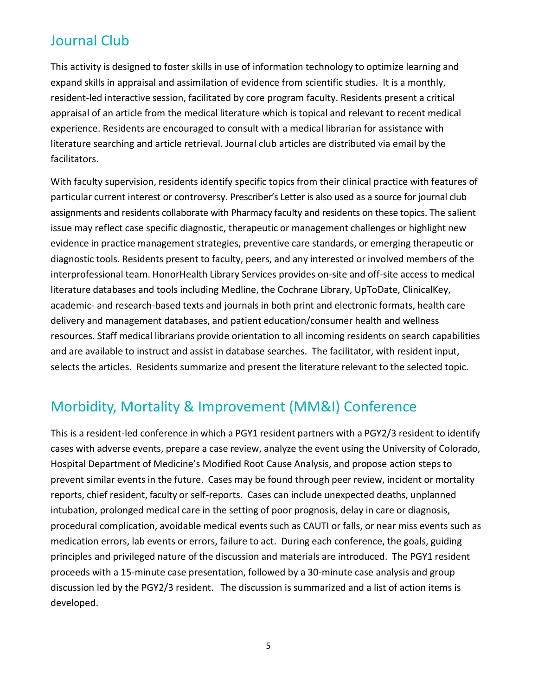### Journal Club

This activity is designed to foster skills in use of information technology to optimize learning and expand skills in appraisal and assimilation of evidence from scientific studies. It is a monthly, resident-led interactive session, facilitated by core program faculty. Residents present a critical appraisal of an article from the medical literature which is topical and relevant to recent medical experience. Residents are encouraged to consult with a medical librarian for assistance with literature searching and article retrieval. Journal club articles are distributed via email by the facilitators.

With faculty supervision, residents identify specific topics from their clinical practice with features of particular current interest or controversy. Prescriber's Letter is also used as a source for journal club assignments and residents collaborate with Pharmacy faculty and residents on these topics. The salient issue may reflect case specific diagnostic, therapeutic or management challenges or highlight new evidence in practice management strategies, preventive care standards, or emerging therapeutic or diagnostic tools. Residents present to faculty, peers, and any interested or involved members of the interprofessional team. HonorHealth Library Services provides on-site and off-site access to medical literature databases and tools including Medline, the Cochrane Library, UpToDate, ClinicalKey, academic- and research-based texts and journals in both print and electronic formats, health care delivery and management databases, and patient education/consumer health and wellness resources. Staff medical librarians provide orientation to all incoming residents on search capabilities and are available to instruct and assist in database searches. The facilitator, with resident input, selects the articles. Residents summarize and present the literature relevant to the selected topic.

### Morbidity, Mortality & Improvement (MM&I) Conference

This is a resident-led conference in which a PGY1 resident partners with a PGY2/3 resident to identify cases with adverse events, prepare a case review, analyze the event using the University of Colorado, Hospital Department of Medicine's Modified Root Cause Analysis, and propose action steps to prevent similar events in the future. Cases may be found through peer review, incident or mortality reports, chief resident, faculty or self-reports. Cases can include unexpected deaths, unplanned intubation, prolonged medical care in the setting of poor prognosis, delay in care or diagnosis, procedural complication, avoidable medical events such as CAUTI or falls, or near miss events such as medication errors, lab events or errors, failure to act. During each conference, the goals, guiding principles and privileged nature of the discussion and materials are introduced. The PGY1 resident proceeds with a 15-minute case presentation, followed by a 30-minute case analysis and group discussion led by the PGY2/3 resident. The discussion is summarized and a list of action items is developed.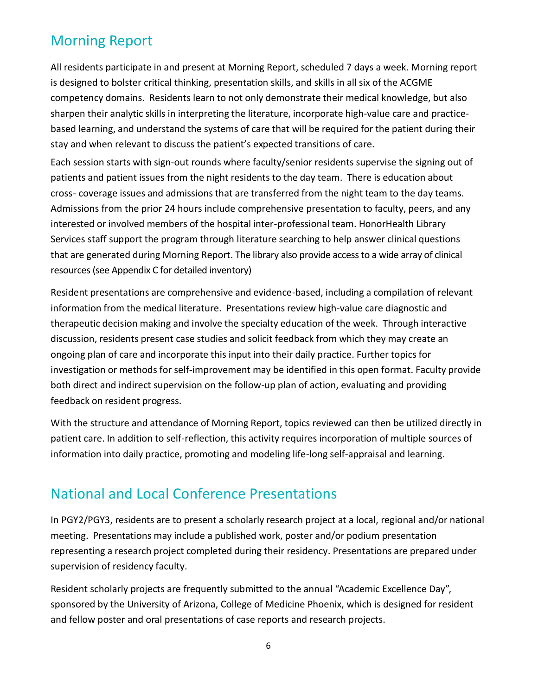### Morning Report

All residents participate in and present at Morning Report, scheduled 7 days a week. Morning report is designed to bolster critical thinking, presentation skills, and skills in all six of the ACGME competency domains. Residents learn to not only demonstrate their medical knowledge, but also sharpen their analytic skills in interpreting the literature, incorporate high-value care and practicebased learning, and understand the systems of care that will be required for the patient during their stay and when relevant to discuss the patient's expected transitions of care.

Each session starts with sign-out rounds where faculty/senior residents supervise the signing out of patients and patient issues from the night residents to the day team. There is education about cross- coverage issues and admissions that are transferred from the night team to the day teams. Admissions from the prior 24 hours include comprehensive presentation to faculty, peers, and any interested or involved members of the hospital inter-professional team. HonorHealth Library Services staff support the program through literature searching to help answer clinical questions that are generated during Morning Report. The library also provide access to a wide array of clinical resources (see Appendix C for detailed inventory)

Resident presentations are comprehensive and evidence-based, including a compilation of relevant information from the medical literature. Presentations review high-value care diagnostic and therapeutic decision making and involve the specialty education of the week. Through interactive discussion, residents present case studies and solicit feedback from which they may create an ongoing plan of care and incorporate this input into their daily practice. Further topics for investigation or methods for self-improvement may be identified in this open format. Faculty provide both direct and indirect supervision on the follow-up plan of action, evaluating and providing feedback on resident progress.

With the structure and attendance of Morning Report, topics reviewed can then be utilized directly in patient care. In addition to self-reflection, this activity requires incorporation of multiple sources of information into daily practice, promoting and modeling life-long self-appraisal and learning.

### National and Local Conference Presentations

In PGY2/PGY3, residents are to present a scholarly research project at a local, regional and/or national meeting. Presentations may include a published work, poster and/or podium presentation representing a research project completed during their residency. Presentations are prepared under supervision of residency faculty.

Resident scholarly projects are frequently submitted to the annual "Academic Excellence Day", sponsored by the University of Arizona, College of Medicine Phoenix, which is designed for resident and fellow poster and oral presentations of case reports and research projects.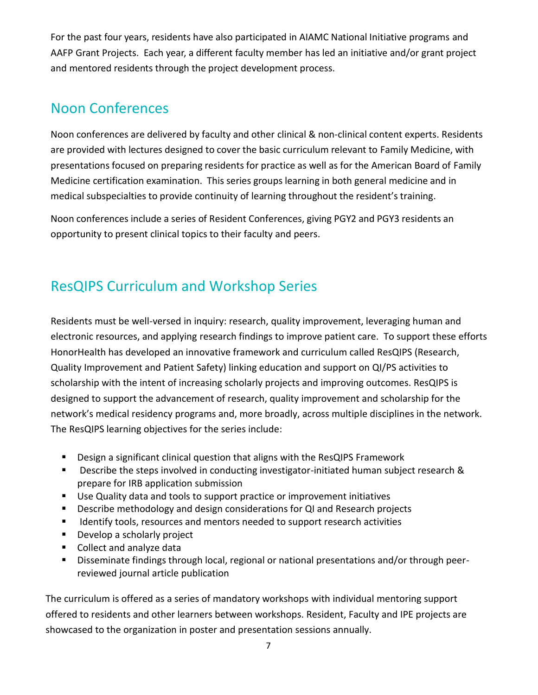For the past four years, residents have also participated in AIAMC National Initiative programs and AAFP Grant Projects. Each year, a different faculty member has led an initiative and/or grant project and mentored residents through the project development process.

### Noon Conferences

Noon conferences are delivered by faculty and other clinical & non-clinical content experts. Residents are provided with lectures designed to cover the basic curriculum relevant to Family Medicine, with presentations focused on preparing residents for practice as well as for the American Board of Family Medicine certification examination. This series groups learning in both general medicine and in medical subspecialties to provide continuity of learning throughout the resident's training.

Noon conferences include a series of Resident Conferences, giving PGY2 and PGY3 residents an opportunity to present clinical topics to their faculty and peers.

## ResQIPS Curriculum and Workshop Series

Residents must be well-versed in inquiry: research, quality improvement, leveraging human and electronic resources, and applying research findings to improve patient care. To support these efforts HonorHealth has developed an innovative framework and curriculum called ResQIPS (Research, Quality Improvement and Patient Safety) linking education and support on QI/PS activities to scholarship with the intent of increasing scholarly projects and improving outcomes. ResQIPS is designed to support the advancement of research, quality improvement and scholarship for the network's medical residency programs and, more broadly, across multiple disciplines in the network. The ResQIPS learning objectives for the series include:

- Design a significant clinical question that aligns with the ResQIPS Framework
- **Describe the steps involved in conducting investigator-initiated human subject research &** prepare for IRB application submission
- Use Quality data and tools to support practice or improvement initiatives
- Describe methodology and design considerations for QI and Research projects
- Identify tools, resources and mentors needed to support research activities
- **Develop a scholarly project**
- Collect and analyze data
- Disseminate findings through local, regional or national presentations and/or through peerreviewed journal article publication

The curriculum is offered as a series of mandatory workshops with individual mentoring support offered to residents and other learners between workshops. Resident, Faculty and IPE projects are showcased to the organization in poster and presentation sessions annually.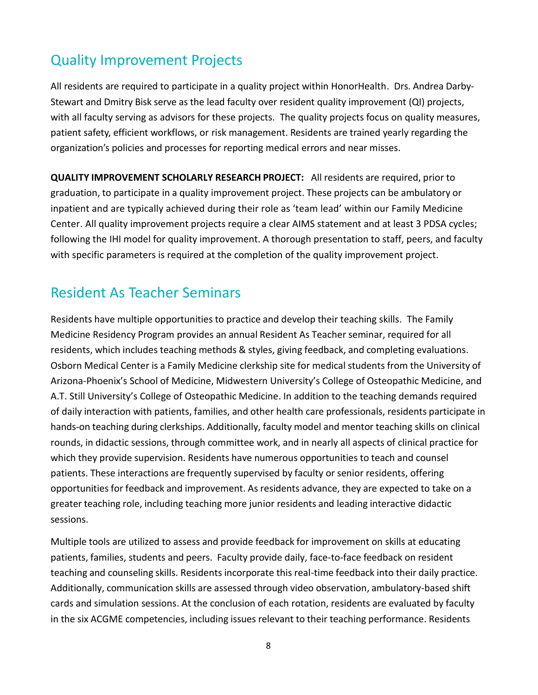### Quality Improvement Projects

All residents are required to participate in a quality project within HonorHealth. Drs. Andrea Darby-Stewart and Dmitry Bisk serve as the lead faculty over resident quality improvement (QI) projects, with all faculty serving as advisors for these projects. The quality projects focus on quality measures, patient safety, efficient workflows, or risk management. Residents are trained yearly regarding the organization's policies and processes for reporting medical errors and near misses.

**QUALITY IMPROVEMENT SCHOLARLY RESEARCH PROJECT:** All residents are required, prior to graduation, to participate in a quality improvement project. These projects can be ambulatory or inpatient and are typically achieved during their role as 'team lead' within our Family Medicine Center. All quality improvement projects require a clear AIMS statement and at least 3 PDSA cycles; following the IHI model for quality improvement. A thorough presentation to staff, peers, and faculty with specific parameters is required at the completion of the quality improvement project.

### Resident As Teacher Seminars

Residents have multiple opportunities to practice and develop their teaching skills. The Family Medicine Residency Program provides an annual Resident As Teacher seminar, required for all residents, which includes teaching methods & styles, giving feedback, and completing evaluations. Osborn Medical Center is a Family Medicine clerkship site for medical students from the University of Arizona-Phoenix's School of Medicine, Midwestern University's College of Osteopathic Medicine, and A.T. Still University's College of Osteopathic Medicine. In addition to the teaching demands required of daily interaction with patients, families, and other health care professionals, residents participate in hands-on teaching during clerkships. Additionally, faculty model and mentor teaching skills on clinical rounds, in didactic sessions, through committee work, and in nearly all aspects of clinical practice for which they provide supervision. Residents have numerous opportunities to teach and counsel patients. These interactions are frequently supervised by faculty or senior residents, offering opportunitiesfor feedback and improvement. As residents advance, they are expected to take on a greater teaching role, including teaching more junior residents and leading interactive didactic sessions.

Multiple tools are utilized to assess and provide feedback for improvement on skills at educating patients, families, students and peers. Faculty provide daily, face-to-face feedback on resident teaching and counseling skills. Residents incorporate this real-time feedback into their daily practice. Additionally, communication skills are assessed through video observation, ambulatory-based shift cards and simulation sessions. At the conclusion of each rotation, residents are evaluated by faculty in the six ACGME competencies, including issues relevant to their teaching performance. Residents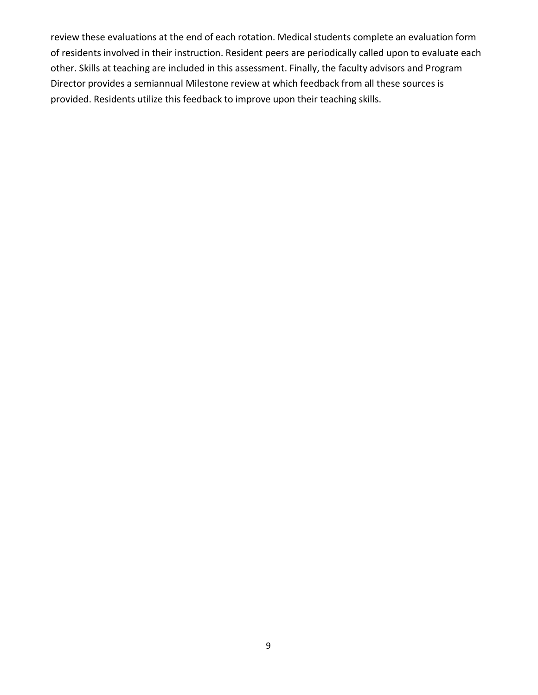review these evaluations at the end of each rotation. Medical students complete an evaluation form of residents involved in their instruction. Resident peers are periodically called upon to evaluate each other. Skills at teaching are included in this assessment. Finally, the faculty advisors and Program Director provides a semiannual Milestone review at which feedback from all these sources is provided. Residents utilize this feedback to improve upon their teaching skills.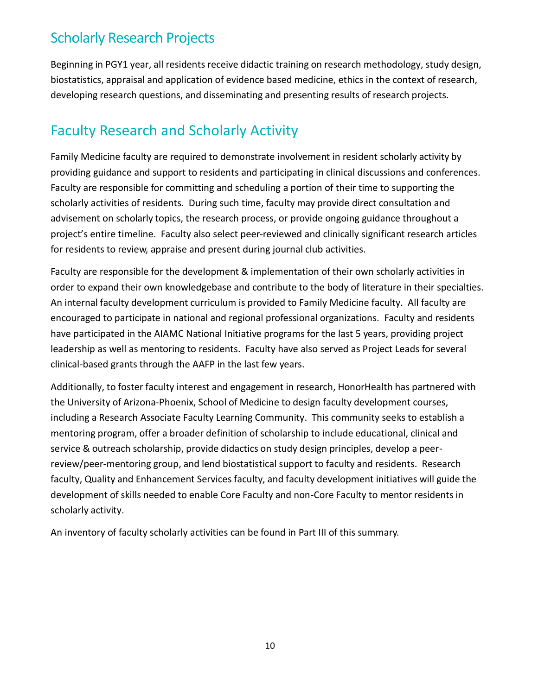### Scholarly Research Projects

Beginning in PGY1 year, all residents receive didactic training on research methodology, study design, biostatistics, appraisal and application of evidence based medicine, ethics in the context of research, developing research questions, and disseminating and presenting results of research projects.

### Faculty Research and Scholarly Activity

Family Medicine faculty are required to demonstrate involvement in resident scholarly activity by providing guidance and support to residents and participating in clinical discussions and conferences. Faculty are responsible for committing and scheduling a portion of their time to supporting the scholarly activities of residents. During such time, faculty may provide direct consultation and advisement on scholarly topics, the research process, or provide ongoing guidance throughout a project's entire timeline. Faculty also select peer-reviewed and clinically significant research articles for residents to review, appraise and present during journal club activities.

Faculty are responsible for the development & implementation of their own scholarly activities in order to expand their own knowledgebase and contribute to the body of literature in their specialties. An internal faculty development curriculum is provided to Family Medicine faculty. All faculty are encouraged to participate in national and regional professional organizations. Faculty and residents have participated in the AIAMC National Initiative programs for the last 5 years, providing project leadership as well as mentoring to residents. Faculty have also served as Project Leads for several clinical-based grants through the AAFP in the last few years.

Additionally, to foster faculty interest and engagement in research, HonorHealth has partnered with the University of Arizona-Phoenix, School of Medicine to design faculty development courses, including a Research Associate Faculty Learning Community. This community seeks to establish a mentoring program, offer a broader definition of scholarship to include educational, clinical and service & outreach scholarship, provide didactics on study design principles, develop a peerreview/peer-mentoring group, and lend biostatistical support to faculty and residents. Research faculty, Quality and Enhancement Services faculty, and faculty development initiatives will guide the development of skills needed to enable Core Faculty and non-Core Faculty to mentor residents in scholarly activity.

An inventory of faculty scholarly activities can be found in Part III of this summary.

10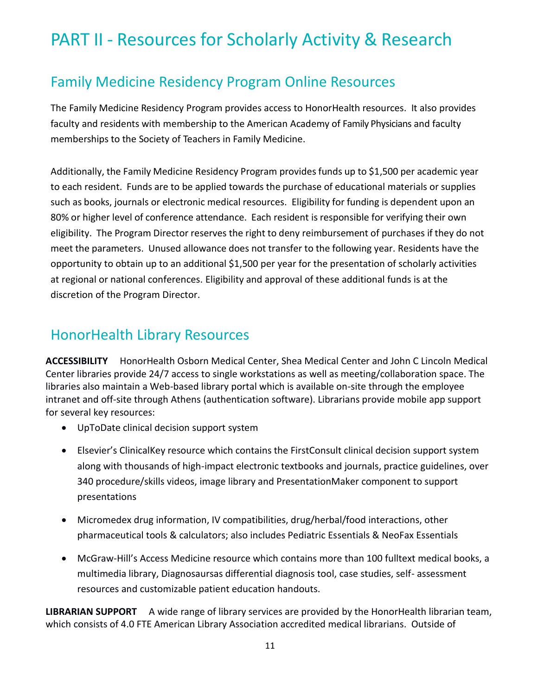# PART II - Resources for Scholarly Activity & Research

### Family Medicine Residency Program Online Resources

The Family Medicine Residency Program provides access to HonorHealth resources. It also provides faculty and residents with membership to the American Academy of Family Physicians and faculty memberships to the Society of Teachers in Family Medicine.

Additionally, the Family Medicine Residency Program provides funds up to \$1,500 per academic year to each resident. Funds are to be applied towards the purchase of educational materials or supplies such as books, journals or electronic medical resources. Eligibility for funding is dependent upon an 80% or higher level of conference attendance. Each resident is responsible for verifying their own eligibility. The Program Director reserves the right to deny reimbursement of purchases if they do not meet the parameters. Unused allowance does not transfer to the following year. Residents have the opportunity to obtain up to an additional \$1,500 per year for the presentation of scholarly activities at regional or national conferences. Eligibility and approval of these additional funds is at the discretion of the Program Director.

### HonorHealth Library Resources

**ACCESSIBILITY** HonorHealth Osborn Medical Center, Shea Medical Center and John C Lincoln Medical Center libraries provide 24/7 access to single workstations as well as meeting/collaboration space. The libraries also maintain a Web-based library portal which is available on-site through the employee intranet and off-site through Athens (authentication software). Librarians provide mobile app support for several key resources:

- UpToDate clinical decision support system
- Elsevier's ClinicalKey resource which contains the FirstConsult clinical decision support system along with thousands of high-impact electronic textbooks and journals, practice guidelines, over 340 procedure/skills videos, image library and PresentationMaker component to support presentations
- Micromedex drug information, IV compatibilities, drug/herbal/food interactions, other pharmaceutical tools & calculators; also includes Pediatric Essentials & NeoFax Essentials
- McGraw-Hill's Access Medicine resource which contains more than 100 fulltext medical books, a multimedia library, Diagnosaursas differential diagnosis tool, case studies, self- assessment resources and customizable patient education handouts.

**LIBRARIAN SUPPORT** A wide range of library services are provided by the HonorHealth librarian team, which consists of 4.0 FTE American Library Association accredited medical librarians. Outside of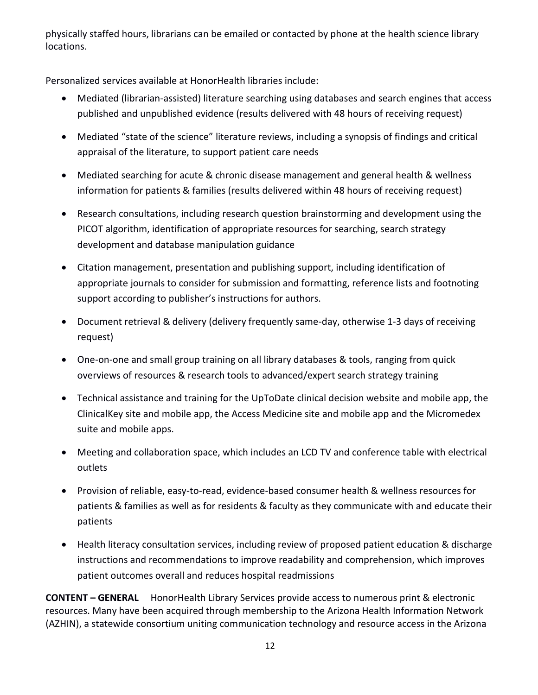physically staffed hours, librarians can be emailed or contacted by phone at the health science library locations.

Personalized services available at HonorHealth libraries include:

- Mediated (librarian-assisted) literature searching using databases and search engines that access published and unpublished evidence (results delivered with 48 hours of receiving request)
- Mediated "state of the science" literature reviews, including a synopsis of findings and critical appraisal of the literature, to support patient care needs
- Mediated searching for acute & chronic disease management and general health & wellness information for patients & families (results delivered within 48 hours of receiving request)
- Research consultations, including research question brainstorming and development using the PICOT algorithm, identification of appropriate resources for searching, search strategy development and database manipulation guidance
- Citation management, presentation and publishing support, including identification of appropriate journals to consider for submission and formatting, reference lists and footnoting support according to publisher's instructions for authors.
- Document retrieval & delivery (delivery frequently same-day, otherwise 1-3 days of receiving request)
- One-on-one and small group training on all library databases & tools, ranging from quick overviews of resources & research tools to advanced/expert search strategy training
- Technical assistance and training for the UpToDate clinical decision website and mobile app, the ClinicalKey site and mobile app, the Access Medicine site and mobile app and the Micromedex suite and mobile apps.
- Meeting and collaboration space, which includes an LCD TV and conference table with electrical outlets
- Provision of reliable, easy-to-read, evidence-based consumer health & wellness resources for patients & families as well as for residents & faculty as they communicate with and educate their patients
- Health literacy consultation services, including review of proposed patient education & discharge instructions and recommendations to improve readability and comprehension, which improves patient outcomes overall and reduces hospital readmissions

**CONTENT – GENERAL** HonorHealth Library Services provide access to numerous print & electronic resources. Many have been acquired through membership to the Arizona Health Information Network (AZHIN), a statewide consortium uniting communication technology and resource access in the Arizona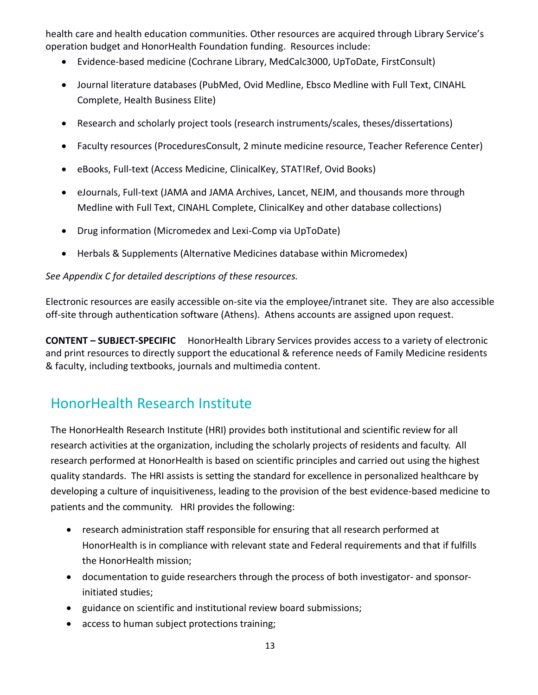health care and health education communities. Other resources are acquired through Library Service's operation budget and HonorHealth Foundation funding. Resources include:

- Evidence-based medicine (Cochrane Library, MedCalc3000, UpToDate, FirstConsult)
- Journal literature databases (PubMed, Ovid Medline, Ebsco Medline with Full Text, CINAHL Complete, Health Business Elite)
- Research and scholarly project tools (research instruments/scales, theses/dissertations)
- Faculty resources (ProceduresConsult, 2 minute medicine resource, Teacher Reference Center)
- eBooks, Full-text (Access Medicine, ClinicalKey, STAT!Ref, Ovid Books)
- eJournals, Full-text (JAMA and JAMA Archives, Lancet, NEJM, and thousands more through Medline with Full Text, CINAHL Complete, ClinicalKey and other database collections)
- Drug information (Micromedex and Lexi-Comp via UpToDate)
- Herbals & Supplements (Alternative Medicines database within Micromedex)

#### *See Appendix C for detailed descriptions of these resources.*

Electronic resources are easily accessible on-site via the employee/intranet site. They are also accessible off-site through authentication software (Athens). Athens accounts are assigned upon request.

**CONTENT – SUBJECT-SPECIFIC** HonorHealth Library Services provides access to a variety of electronic and print resources to directly support the educational & reference needs of Family Medicine residents & faculty, including textbooks, journals and multimedia content.

### HonorHealth Research Institute

The HonorHealth Research Institute (HRI) provides both institutional and scientific review for all research activities at the organization, including the scholarly projects of residents and faculty. All research performed at HonorHealth is based on scientific principles and carried out using the highest quality standards. The HRI assists is setting the standard for excellence in personalized healthcare by developing a culture of inquisitiveness, leading to the provision of the best evidence-based medicine to patients and the community. HRI provides the following:

- research administration staff responsible for ensuring that all research performed at HonorHealth is in compliance with relevant state and Federal requirements and that if fulfills the HonorHealth mission;
- documentation to guide researchers through the process of both investigator- and sponsorinitiated studies;
- guidance on scientific and institutional review board submissions;
- access to human subject protections training;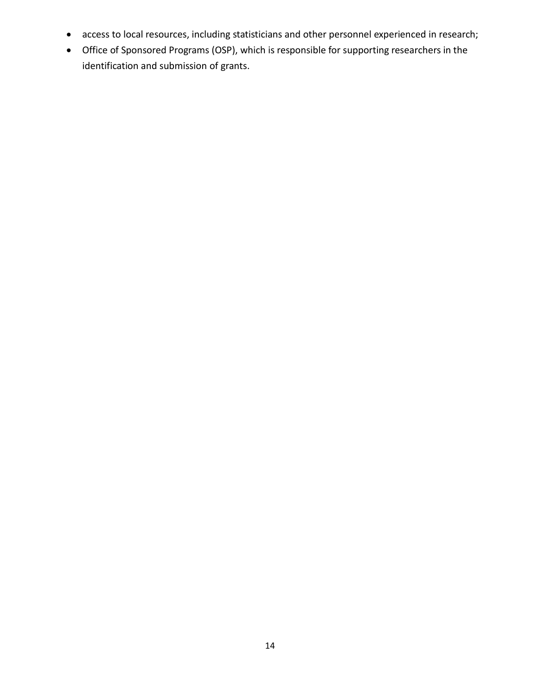- access to local resources, including statisticians and other personnel experienced in research;
- Office of Sponsored Programs (OSP), which is responsible for supporting researchers in the identification and submission of grants.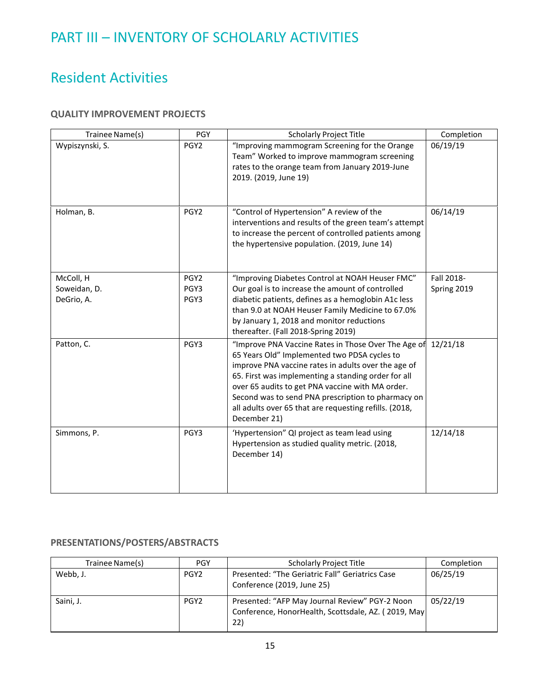### PART III – INVENTORY OF SCHOLARLY ACTIVITIES

### Resident Activities

#### **QUALITY IMPROVEMENT PROJECTS**

| Trainee Name(s)                         | <b>PGY</b>                       | <b>Scholarly Project Title</b>                                                                                                                                                                                                                                                                                                                                                                        | Completion                |
|-----------------------------------------|----------------------------------|-------------------------------------------------------------------------------------------------------------------------------------------------------------------------------------------------------------------------------------------------------------------------------------------------------------------------------------------------------------------------------------------------------|---------------------------|
| Wypiszynski, S.                         | PGY <sub>2</sub>                 | "Improving mammogram Screening for the Orange<br>Team" Worked to improve mammogram screening<br>rates to the orange team from January 2019-June<br>2019. (2019, June 19)                                                                                                                                                                                                                              | 06/19/19                  |
| Holman, B.                              | PGY <sub>2</sub>                 | "Control of Hypertension" A review of the<br>interventions and results of the green team's attempt<br>to increase the percent of controlled patients among<br>the hypertensive population. (2019, June 14)                                                                                                                                                                                            | 06/14/19                  |
| McColl, H<br>Soweidan, D.<br>DeGrio, A. | PGY <sub>2</sub><br>PGY3<br>PGY3 | "Improving Diabetes Control at NOAH Heuser FMC"<br>Our goal is to increase the amount of controlled<br>diabetic patients, defines as a hemoglobin A1c less<br>than 9.0 at NOAH Heuser Family Medicine to 67.0%<br>by January 1, 2018 and monitor reductions<br>thereafter. (Fall 2018-Spring 2019)                                                                                                    | Fall 2018-<br>Spring 2019 |
| Patton, C.                              | PGY3                             | "Improve PNA Vaccine Rates in Those Over The Age of<br>65 Years Old" Implemented two PDSA cycles to<br>improve PNA vaccine rates in adults over the age of<br>65. First was implementing a standing order for all<br>over 65 audits to get PNA vaccine with MA order.<br>Second was to send PNA prescription to pharmacy on<br>all adults over 65 that are requesting refills. (2018,<br>December 21) | 12/21/18                  |
| Simmons, P.                             | PGY3                             | 'Hypertension" QI project as team lead using<br>Hypertension as studied quality metric. (2018,<br>December 14)                                                                                                                                                                                                                                                                                        | 12/14/18                  |

#### **PRESENTATIONS/POSTERS/ABSTRACTS**

| Trainee Name(s) | <b>PGY</b>       | <b>Scholarly Project Title</b>                                                                               | Completion |
|-----------------|------------------|--------------------------------------------------------------------------------------------------------------|------------|
| Webb, J.        | PGY2             | Presented: "The Geriatric Fall" Geriatrics Case<br>Conference (2019, June 25)                                | 06/25/19   |
| Saini, J.       | PGY <sub>2</sub> | Presented: "AFP May Journal Review" PGY-2 Noon<br>Conference, HonorHealth, Scottsdale, AZ. (2019, May<br>22) | 05/22/19   |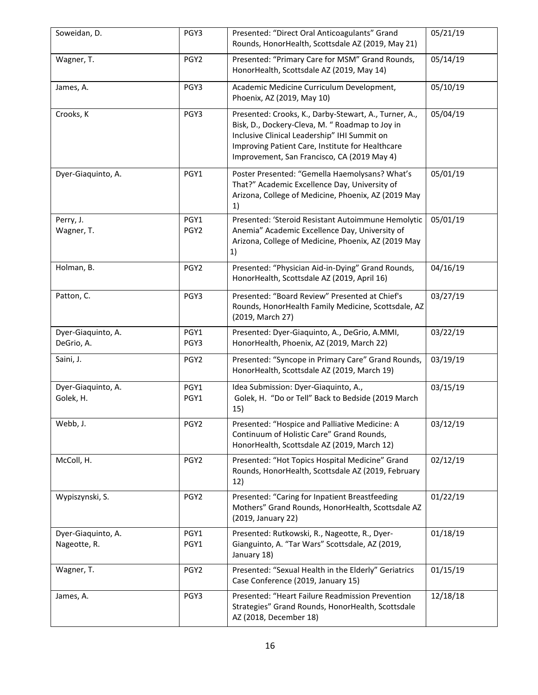| Soweidan, D.                       | PGY3             | Presented: "Direct Oral Anticoagulants" Grand<br>Rounds, HonorHealth, Scottsdale AZ (2019, May 21)                                                                                                                                                          | 05/21/19 |
|------------------------------------|------------------|-------------------------------------------------------------------------------------------------------------------------------------------------------------------------------------------------------------------------------------------------------------|----------|
| Wagner, T.                         | PGY <sub>2</sub> | Presented: "Primary Care for MSM" Grand Rounds,<br>HonorHealth, Scottsdale AZ (2019, May 14)                                                                                                                                                                | 05/14/19 |
| James, A.                          | PGY3             | Academic Medicine Curriculum Development,<br>Phoenix, AZ (2019, May 10)                                                                                                                                                                                     | 05/10/19 |
| Crooks, K                          | PGY3             | Presented: Crooks, K., Darby-Stewart, A., Turner, A.,<br>Bisk, D., Dockery-Cleva, M. " Roadmap to Joy in<br>Inclusive Clinical Leadership" IHI Summit on<br>Improving Patient Care, Institute for Healthcare<br>Improvement, San Francisco, CA (2019 May 4) | 05/04/19 |
| Dyer-Giaquinto, A.                 | PGY1             | Poster Presented: "Gemella Haemolysans? What's<br>That?" Academic Excellence Day, University of<br>Arizona, College of Medicine, Phoenix, AZ (2019 May<br>1)                                                                                                | 05/01/19 |
| Perry, J.<br>Wagner, T.            | PGY1<br>PGY2     | Presented: 'Steroid Resistant Autoimmune Hemolytic<br>Anemia" Academic Excellence Day, University of<br>Arizona, College of Medicine, Phoenix, AZ (2019 May<br>1)                                                                                           | 05/01/19 |
| Holman, B.                         | PGY <sub>2</sub> | Presented: "Physician Aid-in-Dying" Grand Rounds,<br>HonorHealth, Scottsdale AZ (2019, April 16)                                                                                                                                                            | 04/16/19 |
| Patton, C.                         | PGY3             | Presented: "Board Review" Presented at Chief's<br>Rounds, HonorHealth Family Medicine, Scottsdale, AZ<br>(2019, March 27)                                                                                                                                   | 03/27/19 |
| Dyer-Giaquinto, A.<br>DeGrio, A.   | PGY1<br>PGY3     | Presented: Dyer-Giaquinto, A., DeGrio, A.MMI,<br>HonorHealth, Phoenix, AZ (2019, March 22)                                                                                                                                                                  | 03/22/19 |
| Saini, J.                          | PGY2             | Presented: "Syncope in Primary Care" Grand Rounds,<br>HonorHealth, Scottsdale AZ (2019, March 19)                                                                                                                                                           | 03/19/19 |
| Dyer-Giaquinto, A.<br>Golek, H.    | PGY1<br>PGY1     | Idea Submission: Dyer-Giaquinto, A.,<br>Golek, H. "Do or Tell" Back to Bedside (2019 March<br>15)                                                                                                                                                           | 03/15/19 |
| Webb, J.                           | PGY <sub>2</sub> | Presented: "Hospice and Palliative Medicine: A<br>Continuum of Holistic Care" Grand Rounds,<br>HonorHealth, Scottsdale AZ (2019, March 12)                                                                                                                  | 03/12/19 |
| McColl, H.                         | PGY2             | Presented: "Hot Topics Hospital Medicine" Grand<br>Rounds, HonorHealth, Scottsdale AZ (2019, February<br>12)                                                                                                                                                | 02/12/19 |
| Wypiszynski, S.                    | PGY <sub>2</sub> | Presented: "Caring for Inpatient Breastfeeding<br>Mothers" Grand Rounds, HonorHealth, Scottsdale AZ<br>(2019, January 22)                                                                                                                                   | 01/22/19 |
| Dyer-Giaquinto, A.<br>Nageotte, R. | PGY1<br>PGY1     | Presented: Rutkowski, R., Nageotte, R., Dyer-<br>Gianguinto, A. "Tar Wars" Scottsdale, AZ (2019,<br>January 18)                                                                                                                                             | 01/18/19 |
| Wagner, T.                         | PGY2             | Presented: "Sexual Health in the Elderly" Geriatrics<br>Case Conference (2019, January 15)                                                                                                                                                                  | 01/15/19 |
| James, A.                          | PGY3             | Presented: "Heart Failure Readmission Prevention<br>Strategies" Grand Rounds, HonorHealth, Scottsdale<br>AZ (2018, December 18)                                                                                                                             | 12/18/18 |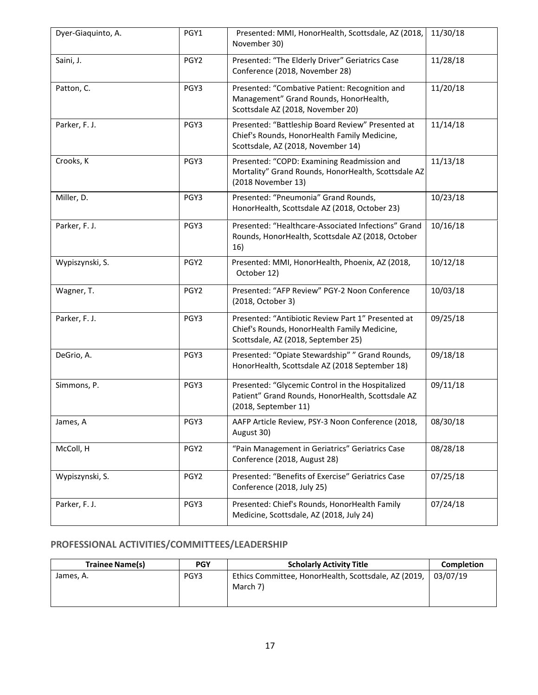| Dyer-Giaquinto, A. | PGY1             | Presented: MMI, HonorHealth, Scottsdale, AZ (2018,<br>November 30)                                                                        | 11/30/18 |
|--------------------|------------------|-------------------------------------------------------------------------------------------------------------------------------------------|----------|
| Saini, J.          | PGY <sub>2</sub> | Presented: "The Elderly Driver" Geriatrics Case<br>Conference (2018, November 28)                                                         | 11/28/18 |
| Patton, C.         | PGY3             | Presented: "Combative Patient: Recognition and<br>Management" Grand Rounds, HonorHealth,<br>Scottsdale AZ (2018, November 20)             | 11/20/18 |
| Parker, F. J.      | PGY3             | Presented: "Battleship Board Review" Presented at<br>Chief's Rounds, HonorHealth Family Medicine,<br>Scottsdale, AZ (2018, November 14)   | 11/14/18 |
| Crooks, K          | PGY3             | Presented: "COPD: Examining Readmission and<br>Mortality" Grand Rounds, HonorHealth, Scottsdale AZ<br>(2018 November 13)                  | 11/13/18 |
| Miller, D.         | PGY3             | Presented: "Pneumonia" Grand Rounds,<br>HonorHealth, Scottsdale AZ (2018, October 23)                                                     | 10/23/18 |
| Parker, F. J.      | PGY3             | Presented: "Healthcare-Associated Infections" Grand<br>Rounds, HonorHealth, Scottsdale AZ (2018, October<br>16)                           | 10/16/18 |
| Wypiszynski, S.    | PGY <sub>2</sub> | Presented: MMI, HonorHealth, Phoenix, AZ (2018,<br>October 12)                                                                            | 10/12/18 |
| Wagner, T.         | PGY <sub>2</sub> | Presented: "AFP Review" PGY-2 Noon Conference<br>(2018, October 3)                                                                        | 10/03/18 |
| Parker, F. J.      | PGY3             | Presented: "Antibiotic Review Part 1" Presented at<br>Chief's Rounds, HonorHealth Family Medicine,<br>Scottsdale, AZ (2018, September 25) | 09/25/18 |
| DeGrio, A.         | PGY3             | Presented: "Opiate Stewardship" " Grand Rounds,<br>HonorHealth, Scottsdale AZ (2018 September 18)                                         | 09/18/18 |
| Simmons, P.        | PGY3             | Presented: "Glycemic Control in the Hospitalized<br>Patient" Grand Rounds, HonorHealth, Scottsdale AZ<br>(2018, September 11)             | 09/11/18 |
| James, A           | PGY3             | AAFP Article Review, PSY-3 Noon Conference (2018,<br>August 30)                                                                           | 08/30/18 |
| McColl, H          | PGY2             | "Pain Management in Geriatrics" Geriatrics Case<br>Conference (2018, August 28)                                                           | 08/28/18 |
| Wypiszynski, S.    | PGY <sub>2</sub> | Presented: "Benefits of Exercise" Geriatrics Case<br>Conference (2018, July 25)                                                           | 07/25/18 |
| Parker, F. J.      | PGY3             | Presented: Chief's Rounds, HonorHealth Family<br>Medicine, Scottsdale, AZ (2018, July 24)                                                 | 07/24/18 |

#### **PROFESSIONAL ACTIVITIES/COMMITTEES/LEADERSHIP**

| <b>Trainee Name(s)</b> | <b>PGY</b> | <b>Scholarly Activity Title</b>                                  | <b>Completion</b> |
|------------------------|------------|------------------------------------------------------------------|-------------------|
| James, A.              | PGY3       | Ethics Committee, HonorHealth, Scottsdale, AZ (2019,<br>March 7) | 03/07/19          |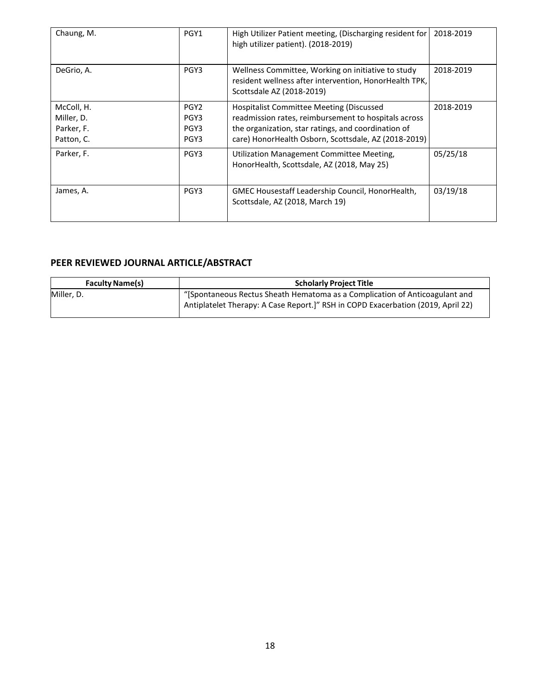| Chaung, M.                                           | PGY1                                     | High Utilizer Patient meeting, (Discharging resident for<br>high utilizer patient). (2018-2019)                                                                                                                        | 2018-2019 |
|------------------------------------------------------|------------------------------------------|------------------------------------------------------------------------------------------------------------------------------------------------------------------------------------------------------------------------|-----------|
| DeGrio, A.                                           | PGY3                                     | Wellness Committee, Working on initiative to study<br>resident wellness after intervention, HonorHealth TPK,<br>Scottsdale AZ (2018-2019)                                                                              | 2018-2019 |
| McColl, H.<br>Miller, D.<br>Parker, F.<br>Patton, C. | PGY <sub>2</sub><br>PGY3<br>PGY3<br>PGY3 | <b>Hospitalist Committee Meeting (Discussed</b><br>readmission rates, reimbursement to hospitals across<br>the organization, star ratings, and coordination of<br>care) HonorHealth Osborn, Scottsdale, AZ (2018-2019) | 2018-2019 |
| Parker, F.                                           | PGY3                                     | Utilization Management Committee Meeting,<br>HonorHealth, Scottsdale, AZ (2018, May 25)                                                                                                                                | 05/25/18  |
| James, A.                                            | PGY3                                     | GMEC Housestaff Leadership Council, HonorHealth,<br>Scottsdale, AZ (2018, March 19)                                                                                                                                    | 03/19/18  |

#### **PEER REVIEWED JOURNAL ARTICLE/ABSTRACT**

| <b>Faculty Name(s)</b> | <b>Scholarly Project Title</b>                                                                                                                                 |
|------------------------|----------------------------------------------------------------------------------------------------------------------------------------------------------------|
| Miller. D.             | "Spontaneous Rectus Sheath Hematoma as a Complication of Anticoagulant and<br>Antiplatelet Therapy: A Case Report.]" RSH in COPD Exacerbation (2019, April 22) |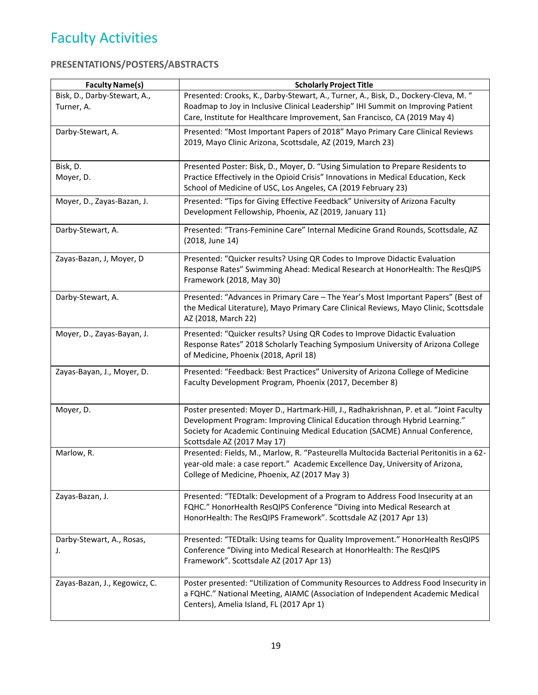# Faculty Activities

#### **PRESENTATIONS/POSTERS/ABSTRACTS**

| <b>Faculty Name(s)</b>          | <b>Scholarly Project Title</b>                                                                                                                                            |
|---------------------------------|---------------------------------------------------------------------------------------------------------------------------------------------------------------------------|
| Bisk, D., Darby-Stewart, A.,    | Presented: Crooks, K., Darby-Stewart, A., Turner, A., Bisk, D., Dockery-Cleva, M. "                                                                                       |
| Turner, A.                      | Roadmap to Joy in Inclusive Clinical Leadership" IHI Summit on Improving Patient                                                                                          |
|                                 | Care, Institute for Healthcare Improvement, San Francisco, CA (2019 May 4)                                                                                                |
| Darby-Stewart, A.               | Presented: "Most Important Papers of 2018" Mayo Primary Care Clinical Reviews                                                                                             |
|                                 | 2019, Mayo Clinic Arizona, Scottsdale, AZ (2019, March 23)                                                                                                                |
|                                 |                                                                                                                                                                           |
| Bisk, D.                        | Presented Poster: Bisk, D., Moyer, D. "Using Simulation to Prepare Residents to                                                                                           |
| Moyer, D.                       | Practice Effectively in the Opioid Crisis" Innovations in Medical Education, Keck                                                                                         |
|                                 | School of Medicine of USC, Los Angeles, CA (2019 February 23)                                                                                                             |
| Moyer, D., Zayas-Bazan, J.      | Presented: "Tips for Giving Effective Feedback" University of Arizona Faculty                                                                                             |
|                                 | Development Fellowship, Phoenix, AZ (2019, January 11)                                                                                                                    |
| Darby-Stewart, A.               | Presented: "Trans-Feminine Care" Internal Medicine Grand Rounds, Scottsdale, AZ                                                                                           |
|                                 | (2018, June 14)                                                                                                                                                           |
|                                 |                                                                                                                                                                           |
| Zayas-Bazan, J, Moyer, D        | Presented: "Quicker results? Using QR Codes to Improve Didactic Evaluation<br>Response Rates" Swimming Ahead: Medical Research at HonorHealth: The ResQIPS                |
|                                 | Framework (2018, May 30)                                                                                                                                                  |
|                                 |                                                                                                                                                                           |
| Darby-Stewart, A.               | Presented: "Advances in Primary Care - The Year's Most Important Papers" (Best of                                                                                         |
|                                 | the Medical Literature), Mayo Primary Care Clinical Reviews, Mayo Clinic, Scottsdale<br>AZ (2018, March 22)                                                               |
|                                 |                                                                                                                                                                           |
| Moyer, D., Zayas-Bayan, J.      | Presented: "Quicker results? Using QR Codes to Improve Didactic Evaluation                                                                                                |
|                                 | Response Rates" 2018 Scholarly Teaching Symposium University of Arizona College                                                                                           |
|                                 | of Medicine, Phoenix (2018, April 18)                                                                                                                                     |
| Zayas-Bayan, J., Moyer, D.      | Presented: "Feedback: Best Practices" University of Arizona College of Medicine                                                                                           |
|                                 | Faculty Development Program, Phoenix (2017, December 8)                                                                                                                   |
|                                 |                                                                                                                                                                           |
| Moyer, D.                       | Poster presented: Moyer D., Hartmark-Hill, J., Radhakrishnan, P. et al. "Joint Faculty                                                                                    |
|                                 | Development Program: Improving Clinical Education through Hybrid Learning."                                                                                               |
|                                 | Society for Academic Continuing Medical Education (SACME) Annual Conference,                                                                                              |
|                                 | Scottsdale AZ (2017 May 17)                                                                                                                                               |
| Marlow, R.                      | Presented: Fields, M., Marlow, R. "Pasteurella Multocida Bacterial Peritonitis in a 62-<br>year-old male: a case report." Academic Excellence Day, University of Arizona, |
|                                 | College of Medicine, Phoenix, AZ (2017 May 3)                                                                                                                             |
|                                 |                                                                                                                                                                           |
| Zayas-Bazan, J.                 | Presented: "TEDtalk: Development of a Program to Address Food Insecurity at an                                                                                            |
|                                 | FQHC." HonorHealth ResQIPS Conference "Diving into Medical Research at                                                                                                    |
|                                 | HonorHealth: The ResQIPS Framework". Scottsdale AZ (2017 Apr 13)                                                                                                          |
|                                 |                                                                                                                                                                           |
| Darby-Stewart, A., Rosas,<br>J. | Presented: "TEDtalk: Using teams for Quality Improvement." HonorHealth ResQIPS<br>Conference "Diving into Medical Research at HonorHealth: The ResQIPS                    |
|                                 | Framework". Scottsdale AZ (2017 Apr 13)                                                                                                                                   |
|                                 |                                                                                                                                                                           |
| Zayas-Bazan, J., Kegowicz, C.   | Poster presented: "Utilization of Community Resources to Address Food Insecurity in                                                                                       |
|                                 | a FQHC." National Meeting, AIAMC (Association of Independent Academic Medical                                                                                             |
|                                 | Centers), Amelia Island, FL (2017 Apr 1)                                                                                                                                  |
|                                 |                                                                                                                                                                           |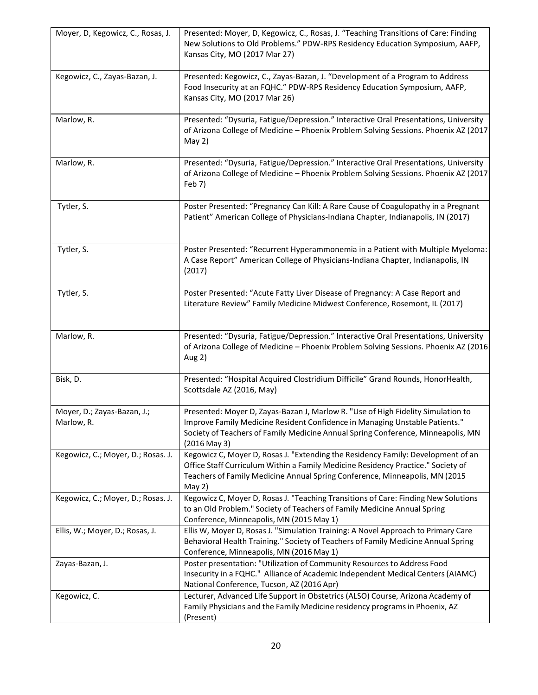| Moyer, D, Kegowicz, C., Rosas, J.         | Presented: Moyer, D, Kegowicz, C., Rosas, J. "Teaching Transitions of Care: Finding<br>New Solutions to Old Problems." PDW-RPS Residency Education Symposium, AAFP,<br>Kansas City, MO (2017 Mar 27)                                                               |
|-------------------------------------------|--------------------------------------------------------------------------------------------------------------------------------------------------------------------------------------------------------------------------------------------------------------------|
| Kegowicz, C., Zayas-Bazan, J.             | Presented: Kegowicz, C., Zayas-Bazan, J. "Development of a Program to Address<br>Food Insecurity at an FQHC." PDW-RPS Residency Education Symposium, AAFP,<br>Kansas City, MO (2017 Mar 26)                                                                        |
| Marlow, R.                                | Presented: "Dysuria, Fatigue/Depression." Interactive Oral Presentations, University<br>of Arizona College of Medicine - Phoenix Problem Solving Sessions. Phoenix AZ (2017<br>May $2)$                                                                            |
| Marlow, R.                                | Presented: "Dysuria, Fatigue/Depression." Interactive Oral Presentations, University<br>of Arizona College of Medicine - Phoenix Problem Solving Sessions. Phoenix AZ (2017<br>Feb 7)                                                                              |
| Tytler, S.                                | Poster Presented: "Pregnancy Can Kill: A Rare Cause of Coagulopathy in a Pregnant<br>Patient" American College of Physicians-Indiana Chapter, Indianapolis, IN (2017)                                                                                              |
| Tytler, S.                                | Poster Presented: "Recurrent Hyperammonemia in a Patient with Multiple Myeloma:<br>A Case Report" American College of Physicians-Indiana Chapter, Indianapolis, IN<br>(2017)                                                                                       |
| Tytler, S.                                | Poster Presented: "Acute Fatty Liver Disease of Pregnancy: A Case Report and<br>Literature Review" Family Medicine Midwest Conference, Rosemont, IL (2017)                                                                                                         |
| Marlow, R.                                | Presented: "Dysuria, Fatigue/Depression." Interactive Oral Presentations, University<br>of Arizona College of Medicine - Phoenix Problem Solving Sessions. Phoenix AZ (2016<br>Aug 2)                                                                              |
| Bisk, D.                                  | Presented: "Hospital Acquired Clostridium Difficile" Grand Rounds, HonorHealth,<br>Scottsdale AZ (2016, May)                                                                                                                                                       |
| Moyer, D.; Zayas-Bazan, J.;<br>Marlow, R. | Presented: Moyer D, Zayas-Bazan J, Marlow R. "Use of High Fidelity Simulation to<br>Improve Family Medicine Resident Confidence in Managing Unstable Patients.<br>Society of Teachers of Family Medicine Annual Spring Conference, Minneapolis, MN<br>(2016 May 3) |
| Kegowicz, C.; Moyer, D.; Rosas. J.        | Kegowicz C, Moyer D, Rosas J. "Extending the Residency Family: Development of an<br>Office Staff Curriculum Within a Family Medicine Residency Practice." Society of<br>Teachers of Family Medicine Annual Spring Conference, Minneapolis, MN (2015<br>May $2)$    |
| Kegowicz, C.; Moyer, D.; Rosas. J.        | Kegowicz C, Moyer D, Rosas J. "Teaching Transitions of Care: Finding New Solutions<br>to an Old Problem." Society of Teachers of Family Medicine Annual Spring<br>Conference, Minneapolis, MN (2015 May 1)                                                         |
| Ellis, W.; Moyer, D.; Rosas, J.           | Ellis W, Moyer D, Rosas J. "Simulation Training: A Novel Approach to Primary Care<br>Behavioral Health Training." Society of Teachers of Family Medicine Annual Spring<br>Conference, Minneapolis, MN (2016 May 1)                                                 |
| Zayas-Bazan, J.                           | Poster presentation: "Utilization of Community Resources to Address Food<br>Insecurity in a FQHC." Alliance of Academic Independent Medical Centers (AIAMC)<br>National Conference, Tucson, AZ (2016 Apr)                                                          |
| Kegowicz, C.                              | Lecturer, Advanced Life Support in Obstetrics (ALSO) Course, Arizona Academy of<br>Family Physicians and the Family Medicine residency programs in Phoenix, AZ<br>(Present)                                                                                        |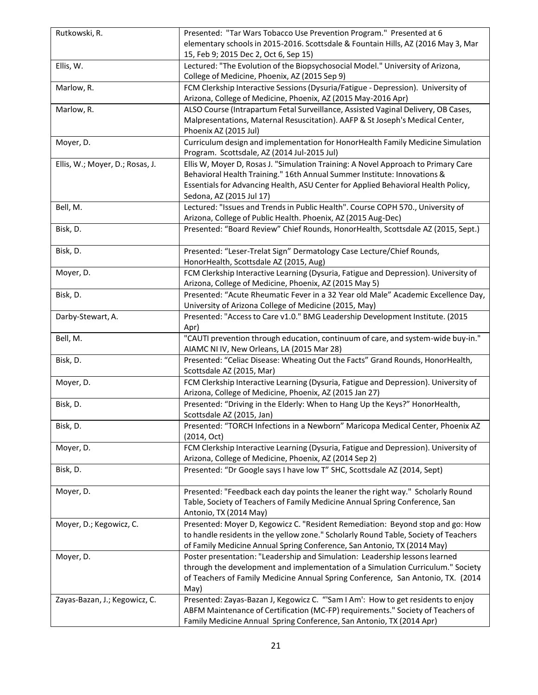| Rutkowski, R.                   | Presented: "Tar Wars Tobacco Use Prevention Program." Presented at 6<br>elementary schools in 2015-2016. Scottsdale & Fountain Hills, AZ (2016 May 3, Mar<br>15, Feb 9; 2015 Dec 2, Oct 6, Sep 15)                                                                             |
|---------------------------------|--------------------------------------------------------------------------------------------------------------------------------------------------------------------------------------------------------------------------------------------------------------------------------|
| Ellis, W.                       | Lectured: "The Evolution of the Biopsychosocial Model." University of Arizona,<br>College of Medicine, Phoenix, AZ (2015 Sep 9)                                                                                                                                                |
| Marlow, R.                      | FCM Clerkship Interactive Sessions (Dysuria/Fatigue - Depression). University of<br>Arizona, College of Medicine, Phoenix, AZ (2015 May-2016 Apr)                                                                                                                              |
| Marlow, R.                      | ALSO Course (Intrapartum Fetal Surveillance, Assisted Vaginal Delivery, OB Cases,<br>Malpresentations, Maternal Resuscitation). AAFP & St Joseph's Medical Center,<br>Phoenix AZ (2015 Jul)                                                                                    |
| Moyer, D.                       | Curriculum design and implementation for HonorHealth Family Medicine Simulation<br>Program. Scottsdale, AZ (2014 Jul-2015 Jul)                                                                                                                                                 |
| Ellis, W.; Moyer, D.; Rosas, J. | Ellis W, Moyer D, Rosas J. "Simulation Training: A Novel Approach to Primary Care<br>Behavioral Health Training." 16th Annual Summer Institute: Innovations &<br>Essentials for Advancing Health, ASU Center for Applied Behavioral Health Policy,<br>Sedona, AZ (2015 Jul 17) |
| Bell, M.                        | Lectured: "Issues and Trends in Public Health". Course COPH 570., University of<br>Arizona, College of Public Health. Phoenix, AZ (2015 Aug-Dec)                                                                                                                               |
| Bisk, D.                        | Presented: "Board Review" Chief Rounds, HonorHealth, Scottsdale AZ (2015, Sept.)                                                                                                                                                                                               |
| Bisk, D.                        | Presented: "Leser-Trelat Sign" Dermatology Case Lecture/Chief Rounds,<br>HonorHealth, Scottsdale AZ (2015, Aug)                                                                                                                                                                |
| Moyer, D.                       | FCM Clerkship Interactive Learning (Dysuria, Fatigue and Depression). University of<br>Arizona, College of Medicine, Phoenix, AZ (2015 May 5)                                                                                                                                  |
| Bisk, D.                        | Presented: "Acute Rheumatic Fever in a 32 Year old Male" Academic Excellence Day,<br>University of Arizona College of Medicine (2015, May)                                                                                                                                     |
| Darby-Stewart, A.               | Presented: "Access to Care v1.0." BMG Leadership Development Institute. (2015<br>Apr)                                                                                                                                                                                          |
| Bell, M.                        | "CAUTI prevention through education, continuum of care, and system-wide buy-in."<br>AIAMC NI IV, New Orleans, LA (2015 Mar 28)                                                                                                                                                 |
| Bisk, D.                        | Presented: "Celiac Disease: Wheating Out the Facts" Grand Rounds, HonorHealth,<br>Scottsdale AZ (2015, Mar)                                                                                                                                                                    |
| Moyer, D.                       | FCM Clerkship Interactive Learning (Dysuria, Fatigue and Depression). University of<br>Arizona, College of Medicine, Phoenix, AZ (2015 Jan 27)                                                                                                                                 |
| Bisk, D.                        | Presented: "Driving in the Elderly: When to Hang Up the Keys?" HonorHealth,<br>Scottsdale AZ (2015, Jan)                                                                                                                                                                       |
| Bisk, D.                        | Presented: "TORCH Infections in a Newborn" Maricopa Medical Center, Phoenix AZ<br>(2014, Oct)                                                                                                                                                                                  |
| Moyer, D.                       | FCM Clerkship Interactive Learning (Dysuria, Fatigue and Depression). University of<br>Arizona, College of Medicine, Phoenix, AZ (2014 Sep 2)                                                                                                                                  |
| Bisk, D.                        | Presented: "Dr Google says I have low T" SHC, Scottsdale AZ (2014, Sept)                                                                                                                                                                                                       |
| Moyer, D.                       | Presented: "Feedback each day points the leaner the right way." Scholarly Round<br>Table, Society of Teachers of Family Medicine Annual Spring Conference, San<br>Antonio, TX (2014 May)                                                                                       |
| Moyer, D.; Kegowicz, C.         | Presented: Moyer D, Kegowicz C. "Resident Remediation: Beyond stop and go: How<br>to handle residents in the yellow zone." Scholarly Round Table, Society of Teachers<br>of Family Medicine Annual Spring Conference, San Antonio, TX (2014 May)                               |
| Moyer, D.                       | Poster presentation: "Leadership and Simulation: Leadership lessons learned<br>through the development and implementation of a Simulation Curriculum." Society<br>of Teachers of Family Medicine Annual Spring Conference, San Antonio, TX. (2014<br>May)                      |
| Zayas-Bazan, J.; Kegowicz, C.   | Presented: Zayas-Bazan J, Kegowicz C. "'Sam I Am': How to get residents to enjoy<br>ABFM Maintenance of Certification (MC-FP) requirements." Society of Teachers of<br>Family Medicine Annual Spring Conference, San Antonio, TX (2014 Apr)                                    |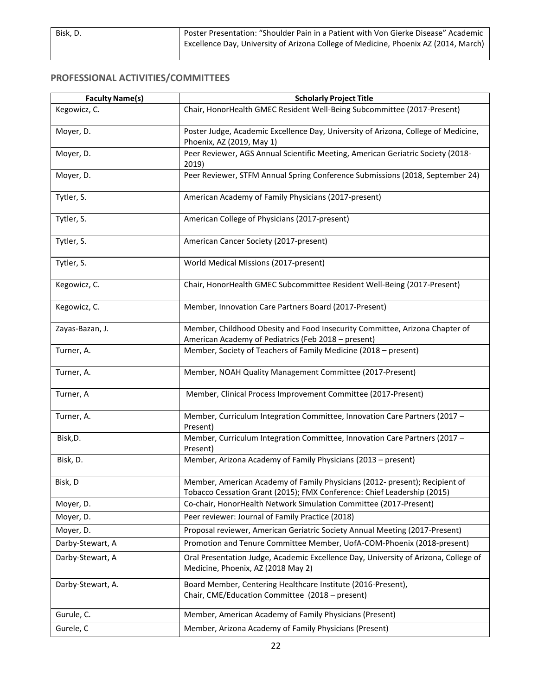#### **PROFESSIONAL ACTIVITIES/COMMITTEES**

| <b>Faculty Name(s)</b> | <b>Scholarly Project Title</b>                                                                                                                         |
|------------------------|--------------------------------------------------------------------------------------------------------------------------------------------------------|
| Kegowicz, C.           | Chair, HonorHealth GMEC Resident Well-Being Subcommittee (2017-Present)                                                                                |
| Moyer, D.              | Poster Judge, Academic Excellence Day, University of Arizona, College of Medicine,<br>Phoenix, AZ (2019, May 1)                                        |
| Moyer, D.              | Peer Reviewer, AGS Annual Scientific Meeting, American Geriatric Society (2018-<br>2019)                                                               |
| Moyer, D.              | Peer Reviewer, STFM Annual Spring Conference Submissions (2018, September 24)                                                                          |
| Tytler, S.             | American Academy of Family Physicians (2017-present)                                                                                                   |
| Tytler, S.             | American College of Physicians (2017-present)                                                                                                          |
| Tytler, S.             | American Cancer Society (2017-present)                                                                                                                 |
| Tytler, S.             | World Medical Missions (2017-present)                                                                                                                  |
| Kegowicz, C.           | Chair, HonorHealth GMEC Subcommittee Resident Well-Being (2017-Present)                                                                                |
| Kegowicz, C.           | Member, Innovation Care Partners Board (2017-Present)                                                                                                  |
| Zayas-Bazan, J.        | Member, Childhood Obesity and Food Insecurity Committee, Arizona Chapter of<br>American Academy of Pediatrics (Feb 2018 - present)                     |
| Turner, A.             | Member, Society of Teachers of Family Medicine (2018 - present)                                                                                        |
| Turner, A.             | Member, NOAH Quality Management Committee (2017-Present)                                                                                               |
| Turner, A              | Member, Clinical Process Improvement Committee (2017-Present)                                                                                          |
| Turner, A.             | Member, Curriculum Integration Committee, Innovation Care Partners (2017 -<br>Present)                                                                 |
| Bisk, D.               | Member, Curriculum Integration Committee, Innovation Care Partners (2017 -<br>Present)                                                                 |
| Bisk, D.               | Member, Arizona Academy of Family Physicians (2013 - present)                                                                                          |
| Bisk, D                | Member, American Academy of Family Physicians (2012- present); Recipient of<br>Tobacco Cessation Grant (2015); FMX Conference: Chief Leadership (2015) |
| Moyer, D.              | Co-chair, HonorHealth Network Simulation Committee (2017-Present)                                                                                      |
| Moyer, D.              | Peer reviewer: Journal of Family Practice (2018)                                                                                                       |
| Moyer, D.              | Proposal reviewer, American Geriatric Society Annual Meeting (2017-Present)                                                                            |
| Darby-Stewart, A       | Promotion and Tenure Committee Member, UofA-COM-Phoenix (2018-present)                                                                                 |
| Darby-Stewart, A       | Oral Presentation Judge, Academic Excellence Day, University of Arizona, College of<br>Medicine, Phoenix, AZ (2018 May 2)                              |
| Darby-Stewart, A.      | Board Member, Centering Healthcare Institute (2016-Present),<br>Chair, CME/Education Committee (2018 - present)                                        |
| Gurule, C.             | Member, American Academy of Family Physicians (Present)                                                                                                |
| Gurele, C              | Member, Arizona Academy of Family Physicians (Present)                                                                                                 |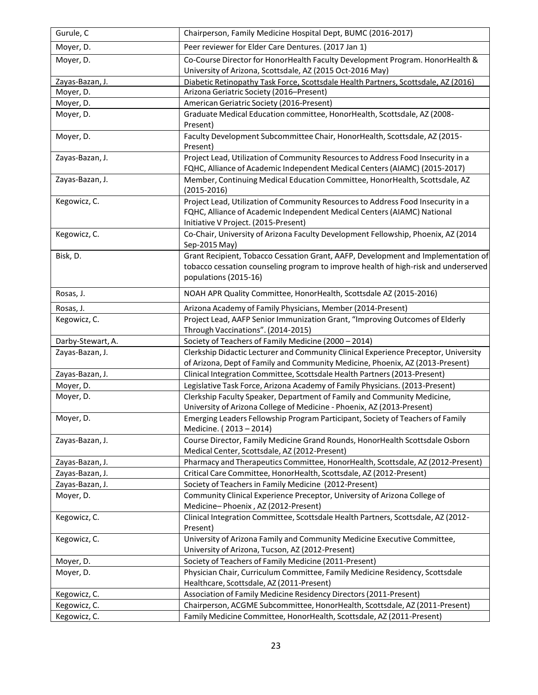| Gurule, C         | Chairperson, Family Medicine Hospital Dept, BUMC (2016-2017)                                                                                                                                        |
|-------------------|-----------------------------------------------------------------------------------------------------------------------------------------------------------------------------------------------------|
| Moyer, D.         | Peer reviewer for Elder Care Dentures. (2017 Jan 1)                                                                                                                                                 |
| Moyer, D.         | Co-Course Director for HonorHealth Faculty Development Program. HonorHealth &<br>University of Arizona, Scottsdale, AZ (2015 Oct-2016 May)                                                          |
| Zayas-Bazan, J.   | Diabetic Retinopathy Task Force, Scottsdale Health Partners, Scottsdale, AZ (2016)                                                                                                                  |
| Moyer, D.         | Arizona Geriatric Society (2016-Present)                                                                                                                                                            |
| Moyer, D.         | American Geriatric Society (2016-Present)                                                                                                                                                           |
| Moyer, D.         | Graduate Medical Education committee, HonorHealth, Scottsdale, AZ (2008-<br>Present)                                                                                                                |
| Moyer, D.         | Faculty Development Subcommittee Chair, HonorHealth, Scottsdale, AZ (2015-<br>Present)                                                                                                              |
| Zayas-Bazan, J.   | Project Lead, Utilization of Community Resources to Address Food Insecurity in a<br>FQHC, Alliance of Academic Independent Medical Centers (AIAMC) (2015-2017)                                      |
| Zayas-Bazan, J.   | Member, Continuing Medical Education Committee, HonorHealth, Scottsdale, AZ<br>$(2015 - 2016)$                                                                                                      |
| Kegowicz, C.      | Project Lead, Utilization of Community Resources to Address Food Insecurity in a<br>FQHC, Alliance of Academic Independent Medical Centers (AIAMC) National<br>Initiative V Project. (2015-Present) |
| Kegowicz, C.      | Co-Chair, University of Arizona Faculty Development Fellowship, Phoenix, AZ (2014<br>Sep-2015 May)                                                                                                  |
| Bisk, D.          | Grant Recipient, Tobacco Cessation Grant, AAFP, Development and Implementation of<br>tobacco cessation counseling program to improve health of high-risk and underserved<br>populations (2015-16)   |
| Rosas, J.         | NOAH APR Quality Committee, HonorHealth, Scottsdale AZ (2015-2016)                                                                                                                                  |
| Rosas, J.         | Arizona Academy of Family Physicians, Member (2014-Present)                                                                                                                                         |
| Kegowicz, C.      | Project Lead, AAFP Senior Immunization Grant, "Improving Outcomes of Elderly<br>Through Vaccinations". (2014-2015)                                                                                  |
| Darby-Stewart, A. | Society of Teachers of Family Medicine (2000 - 2014)                                                                                                                                                |
| Zayas-Bazan, J.   | Clerkship Didactic Lecturer and Community Clinical Experience Preceptor, University<br>of Arizona, Dept of Family and Community Medicine, Phoenix, AZ (2013-Present)                                |
| Zayas-Bazan, J.   | Clinical Integration Committee, Scottsdale Health Partners (2013-Present)                                                                                                                           |
| Moyer, D.         | Legislative Task Force, Arizona Academy of Family Physicians. (2013-Present)                                                                                                                        |
| Moyer, D.         | Clerkship Faculty Speaker, Department of Family and Community Medicine,                                                                                                                             |
|                   | University of Arizona College of Medicine - Phoenix, AZ (2013-Present)                                                                                                                              |
| Moyer, D.         | Emerging Leaders Fellowship Program Participant, Society of Teachers of Family<br>Medicine. (2013-2014)                                                                                             |
| Zayas-Bazan, J.   | Course Director, Family Medicine Grand Rounds, HonorHealth Scottsdale Osborn<br>Medical Center, Scottsdale, AZ (2012-Present)                                                                       |
| Zayas-Bazan, J.   | Pharmacy and Therapeutics Committee, HonorHealth, Scottsdale, AZ (2012-Present)                                                                                                                     |
| Zayas-Bazan, J.   | Critical Care Committee, HonorHealth, Scottsdale, AZ (2012-Present)                                                                                                                                 |
| Zayas-Bazan, J.   | Society of Teachers in Family Medicine (2012-Present)                                                                                                                                               |
| Moyer, D.         | Community Clinical Experience Preceptor, University of Arizona College of<br>Medicine-Phoenix, AZ (2012-Present)                                                                                    |
| Kegowicz, C.      | Clinical Integration Committee, Scottsdale Health Partners, Scottsdale, AZ (2012-<br>Present)                                                                                                       |
| Kegowicz, C.      | University of Arizona Family and Community Medicine Executive Committee,<br>University of Arizona, Tucson, AZ (2012-Present)                                                                        |
| Moyer, D.         | Society of Teachers of Family Medicine (2011-Present)                                                                                                                                               |
| Moyer, D.         | Physician Chair, Curriculum Committee, Family Medicine Residency, Scottsdale<br>Healthcare, Scottsdale, AZ (2011-Present)                                                                           |
| Kegowicz, C.      | Association of Family Medicine Residency Directors (2011-Present)                                                                                                                                   |
| Kegowicz, C.      | Chairperson, ACGME Subcommittee, HonorHealth, Scottsdale, AZ (2011-Present)                                                                                                                         |
| Kegowicz, C.      | Family Medicine Committee, HonorHealth, Scottsdale, AZ (2011-Present)                                                                                                                               |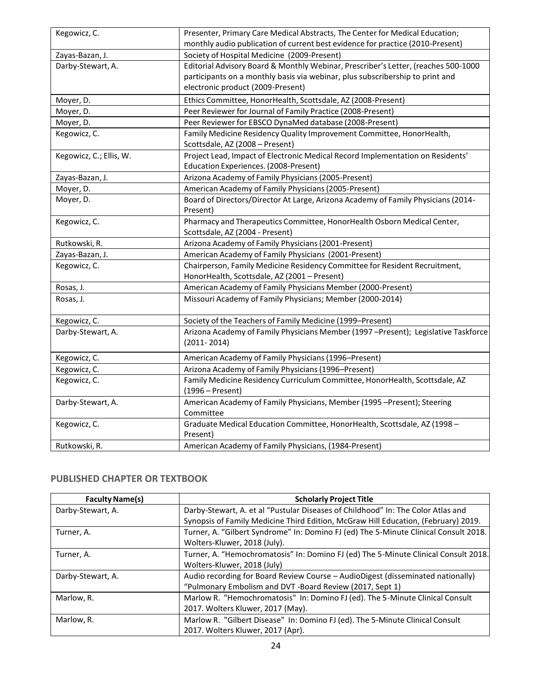| Kegowicz, C.                                                                                   | Presenter, Primary Care Medical Abstracts, The Center for Medical Education;          |  |  |
|------------------------------------------------------------------------------------------------|---------------------------------------------------------------------------------------|--|--|
|                                                                                                | monthly audio publication of current best evidence for practice (2010-Present)        |  |  |
| Zayas-Bazan, J.                                                                                | Society of Hospital Medicine (2009-Present)                                           |  |  |
| Darby-Stewart, A.                                                                              | Editorial Advisory Board & Monthly Webinar, Prescriber's Letter, (reaches 500-1000    |  |  |
|                                                                                                | participants on a monthly basis via webinar, plus subscribership to print and         |  |  |
|                                                                                                | electronic product (2009-Present)                                                     |  |  |
| Moyer, D.                                                                                      | Ethics Committee, HonorHealth, Scottsdale, AZ (2008-Present)                          |  |  |
| Moyer, D.                                                                                      | Peer Reviewer for Journal of Family Practice (2008-Present)                           |  |  |
| Moyer, D.                                                                                      | Peer Reviewer for EBSCO DynaMed database (2008-Present)                               |  |  |
| Kegowicz, C.                                                                                   | Family Medicine Residency Quality Improvement Committee, HonorHealth,                 |  |  |
|                                                                                                | Scottsdale, AZ (2008 - Present)                                                       |  |  |
| Kegowicz, C.; Ellis, W.                                                                        | Project Lead, Impact of Electronic Medical Record Implementation on Residents'        |  |  |
|                                                                                                | Education Experiences. (2008-Present)                                                 |  |  |
| Zayas-Bazan, J.                                                                                | Arizona Academy of Family Physicians (2005-Present)                                   |  |  |
| Moyer, D.                                                                                      | American Academy of Family Physicians (2005-Present)                                  |  |  |
| Board of Directors/Director At Large, Arizona Academy of Family Physicians (2014-<br>Moyer, D. |                                                                                       |  |  |
|                                                                                                | Present)                                                                              |  |  |
| Kegowicz, C.                                                                                   | Pharmacy and Therapeutics Committee, HonorHealth Osborn Medical Center,               |  |  |
|                                                                                                | Scottsdale, AZ (2004 - Present)                                                       |  |  |
| Rutkowski, R.                                                                                  | Arizona Academy of Family Physicians (2001-Present)                                   |  |  |
| Zayas-Bazan, J.                                                                                | American Academy of Family Physicians (2001-Present)                                  |  |  |
| Kegowicz, C.                                                                                   | Chairperson, Family Medicine Residency Committee for Resident Recruitment,            |  |  |
|                                                                                                | HonorHealth, Scottsdale, AZ (2001 - Present)                                          |  |  |
| Rosas, J.                                                                                      | American Academy of Family Physicians Member (2000-Present)                           |  |  |
| Rosas, J.                                                                                      | Missouri Academy of Family Physicians; Member (2000-2014)                             |  |  |
| Kegowicz, C.                                                                                   | Society of the Teachers of Family Medicine (1999-Present)                             |  |  |
| Darby-Stewart, A.                                                                              | Arizona Academy of Family Physicians Member (1997 -Present); Legislative Taskforce    |  |  |
|                                                                                                | $(2011 - 2014)$                                                                       |  |  |
| Kegowicz, C.                                                                                   | American Academy of Family Physicians (1996-Present)                                  |  |  |
| Kegowicz, C.                                                                                   | Arizona Academy of Family Physicians (1996-Present)                                   |  |  |
| Kegowicz, C.                                                                                   | Family Medicine Residency Curriculum Committee, HonorHealth, Scottsdale, AZ           |  |  |
|                                                                                                | $(1996 - Present)$                                                                    |  |  |
| Darby-Stewart, A.                                                                              | American Academy of Family Physicians, Member (1995 -Present); Steering<br>Committee  |  |  |
| Kegowicz, C.                                                                                   | Graduate Medical Education Committee, HonorHealth, Scottsdale, AZ (1998 -<br>Present) |  |  |
| Rutkowski, R.                                                                                  | American Academy of Family Physicians, (1984-Present)                                 |  |  |
|                                                                                                |                                                                                       |  |  |

#### **PUBLISHED CHAPTER OR TEXTBOOK**

| <b>Faculty Name(s)</b> | <b>Scholarly Project Title</b>                                                       |  |
|------------------------|--------------------------------------------------------------------------------------|--|
| Darby-Stewart, A.      | Darby-Stewart, A. et al "Pustular Diseases of Childhood" In: The Color Atlas and     |  |
|                        | Synopsis of Family Medicine Third Edition, McGraw Hill Education, (February) 2019.   |  |
| Turner, A.             | Turner, A. "Gilbert Syndrome" In: Domino FJ (ed) The 5-Minute Clinical Consult 2018. |  |
|                        | Wolters-Kluwer, 2018 (July).                                                         |  |
| Turner, A.             | Turner, A. "Hemochromatosis" In: Domino FJ (ed) The 5-Minute Clinical Consult 2018.  |  |
|                        | Wolters-Kluwer, 2018 (July)                                                          |  |
| Darby-Stewart, A.      | Audio recording for Board Review Course - AudioDigest (disseminated nationally)      |  |
|                        | "Pulmonary Embolism and DVT -Board Review (2017, Sept 1)                             |  |
| Marlow, R.             | Marlow R. "Hemochromatosis" In: Domino FJ (ed). The 5-Minute Clinical Consult        |  |
|                        | 2017. Wolters Kluwer, 2017 (May).                                                    |  |
| Marlow, R.             | Marlow R. "Gilbert Disease" In: Domino FJ (ed). The 5-Minute Clinical Consult        |  |
|                        | 2017. Wolters Kluwer, 2017 (Apr).                                                    |  |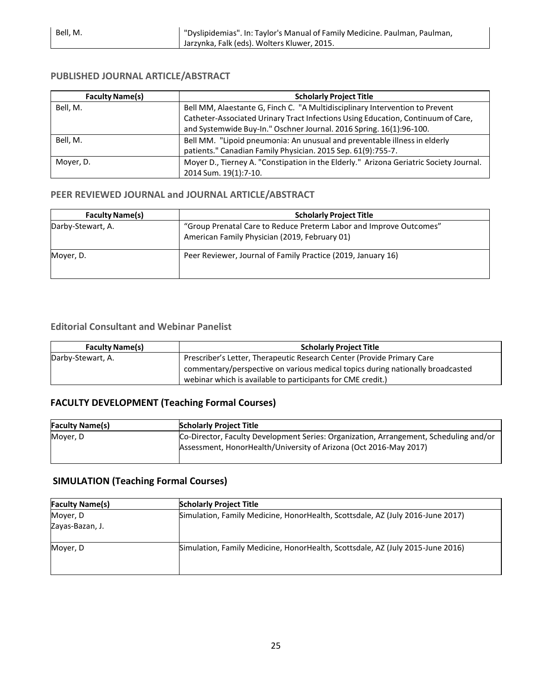| <b>Faculty Name(s)</b> | <b>Scholarly Project Title</b>                                                                                                                                   |  |
|------------------------|------------------------------------------------------------------------------------------------------------------------------------------------------------------|--|
| Bell, M.               | Bell MM, Alaestante G, Finch C. "A Multidisciplinary Intervention to Prevent<br>Catheter-Associated Urinary Tract Infections Using Education, Continuum of Care, |  |
|                        | and Systemwide Buy-In." Oschner Journal. 2016 Spring. 16(1):96-100.                                                                                              |  |
| Bell. M.               | Bell MM. "Lipoid pneumonia: An unusual and preventable illness in elderly<br>patients." Canadian Family Physician. 2015 Sep. 61(9):755-7.                        |  |
| Mover, D.              | Moyer D., Tierney A. "Constipation in the Elderly." Arizona Geriatric Society Journal.<br>2014 Sum. 19(1):7-10.                                                  |  |

#### **PUBLISHED JOURNAL ARTICLE/ABSTRACT**

#### **PEER REVIEWED JOURNAL and JOURNAL ARTICLE/ABSTRACT**

| <b>Faculty Name(s)</b> | <b>Scholarly Project Title</b>                                                                                      |  |  |
|------------------------|---------------------------------------------------------------------------------------------------------------------|--|--|
| Darby-Stewart, A.      | "Group Prenatal Care to Reduce Preterm Labor and Improve Outcomes"<br>American Family Physician (2019, February 01) |  |  |
| Mover, D.              | Peer Reviewer, Journal of Family Practice (2019, January 16)                                                        |  |  |

#### **Editorial Consultant and Webinar Panelist**

| <b>Faculty Name(s)</b> | <b>Scholarly Project Title</b>                                                 |  |  |
|------------------------|--------------------------------------------------------------------------------|--|--|
| Darby-Stewart, A.      | Prescriber's Letter, Therapeutic Research Center (Provide Primary Care         |  |  |
|                        | commentary/perspective on various medical topics during nationally broadcasted |  |  |
|                        | webinar which is available to participants for CME credit.)                    |  |  |

#### **FACULTY DEVELOPMENT (Teaching Formal Courses)**

| <b>Faculty Name(s)</b> | <b>Scholarly Project Title</b>                                                                                                                             |  |  |  |
|------------------------|------------------------------------------------------------------------------------------------------------------------------------------------------------|--|--|--|
| Mover, D               | Co-Director, Faculty Development Series: Organization, Arrangement, Scheduling and/or<br>Assessment, HonorHealth/University of Arizona (Oct 2016-May 2017) |  |  |  |

#### **SIMULATION (Teaching Formal Courses)**

| <b>Faculty Name(s)</b><br><b>Scholarly Project Title</b> |                                                                                |  |  |  |
|----------------------------------------------------------|--------------------------------------------------------------------------------|--|--|--|
| Moyer, D                                                 | Simulation, Family Medicine, HonorHealth, Scottsdale, AZ (July 2016-June 2017) |  |  |  |
| Zayas-Bazan, J.                                          |                                                                                |  |  |  |
| Mover, D                                                 | Simulation, Family Medicine, HonorHealth, Scottsdale, AZ (July 2015-June 2016) |  |  |  |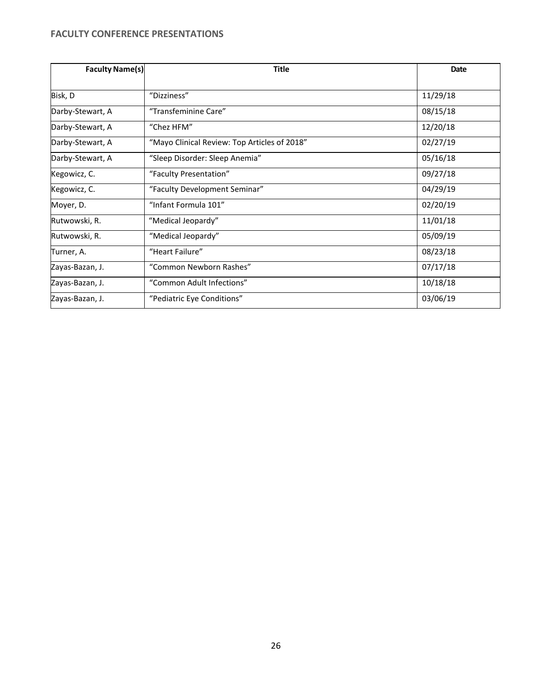#### **FACULTY CONFERENCE PRESENTATIONS**

| <b>Faculty Name(s)</b> | <b>Title</b>                                 | <b>Date</b> |
|------------------------|----------------------------------------------|-------------|
|                        |                                              |             |
| Bisk, D                | "Dizziness"                                  | 11/29/18    |
| Darby-Stewart, A       | "Transfeminine Care"                         | 08/15/18    |
| Darby-Stewart, A       | "Chez HFM"                                   | 12/20/18    |
| Darby-Stewart, A       | "Mayo Clinical Review: Top Articles of 2018" | 02/27/19    |
| Darby-Stewart, A       | "Sleep Disorder: Sleep Anemia"               | 05/16/18    |
| Kegowicz, C.           | "Faculty Presentation"                       | 09/27/18    |
| Kegowicz, C.           | "Faculty Development Seminar"                | 04/29/19    |
| Moyer, D.              | "Infant Formula 101"                         | 02/20/19    |
| Rutwowski, R.          | "Medical Jeopardy"                           | 11/01/18    |
| Rutwowski, R.          | "Medical Jeopardy"                           | 05/09/19    |
| Turner, A.             | "Heart Failure"                              | 08/23/18    |
| Zayas-Bazan, J.        | "Common Newborn Rashes"                      | 07/17/18    |
| Zayas-Bazan, J.        | "Common Adult Infections"                    | 10/18/18    |
| Zayas-Bazan, J.        | "Pediatric Eye Conditions"                   | 03/06/19    |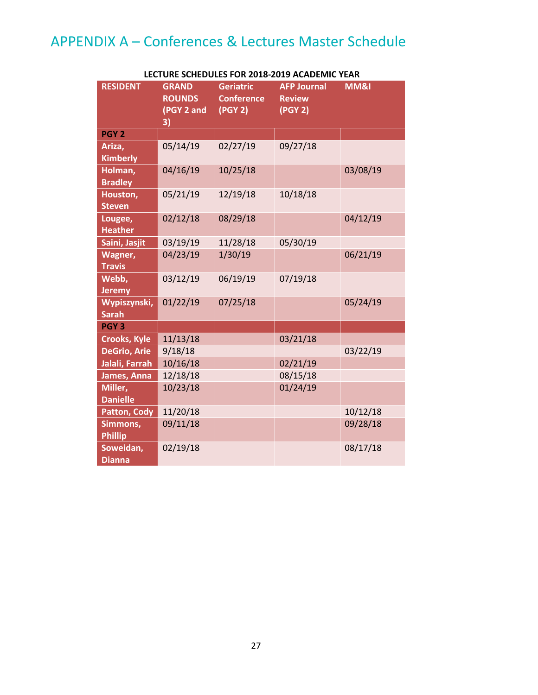## APPENDIX A – Conferences & Lectures Master Schedule

| <b>RESIDENT</b>              | <b>GRAND</b><br><b>ROUNDS</b><br>(PGY 2 and<br>3) | <b>Geriatric</b><br><b>Conference</b><br>(PGY 2) | <b>AFP Journal</b><br><b>Review</b><br>(PGY 2) | MM&I     |
|------------------------------|---------------------------------------------------|--------------------------------------------------|------------------------------------------------|----------|
| PGY <sub>2</sub>             |                                                   |                                                  |                                                |          |
| Ariza,<br><b>Kimberly</b>    | 05/14/19                                          | 02/27/19                                         | 09/27/18                                       |          |
| Holman,<br><b>Bradley</b>    | 04/16/19                                          | 10/25/18                                         |                                                | 03/08/19 |
| Houston,<br><b>Steven</b>    | 05/21/19                                          | 12/19/18                                         | 10/18/18                                       |          |
| Lougee,<br><b>Heather</b>    | 02/12/18                                          | 08/29/18                                         |                                                | 04/12/19 |
| Saini, Jasjit                | 03/19/19                                          | 11/28/18                                         | 05/30/19                                       |          |
| Wagner,<br><b>Travis</b>     | 04/23/19                                          | 1/30/19                                          |                                                | 06/21/19 |
| Webb,<br><b>Jeremy</b>       | 03/12/19                                          | 06/19/19                                         | 07/19/18                                       |          |
| Wypiszynski,<br><b>Sarah</b> | 01/22/19                                          | 07/25/18                                         |                                                | 05/24/19 |
| PGY <sub>3</sub>             |                                                   |                                                  |                                                |          |
| <b>Crooks, Kyle</b>          | 11/13/18                                          |                                                  | 03/21/18                                       |          |
| <b>DeGrio, Arie</b>          | 9/18/18                                           |                                                  |                                                | 03/22/19 |
| Jalali, Farrah               | 10/16/18                                          |                                                  | 02/21/19                                       |          |
| James, Anna                  | 12/18/18                                          |                                                  | 08/15/18                                       |          |
| Miller,<br><b>Danielle</b>   | 10/23/18                                          |                                                  | 01/24/19                                       |          |
| <b>Patton, Cody</b>          | 11/20/18                                          |                                                  |                                                | 10/12/18 |
| Simmons,<br><b>Phillip</b>   | 09/11/18                                          |                                                  |                                                | 09/28/18 |
| Soweidan,<br><b>Dianna</b>   | 02/19/18                                          |                                                  |                                                | 08/17/18 |

#### **LECTURE SCHEDULES FOR 2018-2019 ACADEMIC YEAR**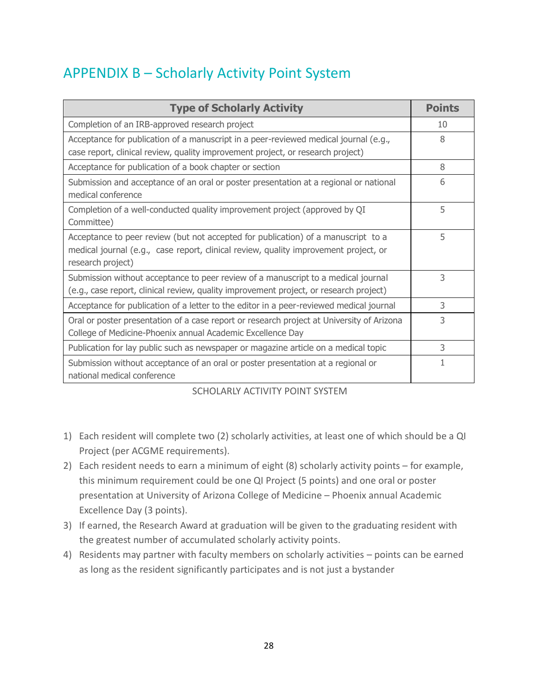## APPENDIX B – Scholarly Activity Point System

| <b>Type of Scholarly Activity</b>                                                                                                                                                              | <b>Points</b> |
|------------------------------------------------------------------------------------------------------------------------------------------------------------------------------------------------|---------------|
| Completion of an IRB-approved research project                                                                                                                                                 | 10            |
| Acceptance for publication of a manuscript in a peer-reviewed medical journal (e.g.,<br>case report, clinical review, quality improvement project, or research project)                        | 8             |
| Acceptance for publication of a book chapter or section                                                                                                                                        | 8             |
| Submission and acceptance of an oral or poster presentation at a regional or national<br>medical conference                                                                                    | 6             |
| Completion of a well-conducted quality improvement project (approved by QI<br>Committee)                                                                                                       | 5             |
| Acceptance to peer review (but not accepted for publication) of a manuscript to a<br>medical journal (e.g., case report, clinical review, quality improvement project, or<br>research project) | 5             |
| Submission without acceptance to peer review of a manuscript to a medical journal<br>(e.g., case report, clinical review, quality improvement project, or research project)                    | 3             |
| Acceptance for publication of a letter to the editor in a peer-reviewed medical journal                                                                                                        | 3             |
| Oral or poster presentation of a case report or research project at University of Arizona<br>College of Medicine-Phoenix annual Academic Excellence Day                                        | 3             |
| Publication for lay public such as newspaper or magazine article on a medical topic                                                                                                            | 3             |
| Submission without acceptance of an oral or poster presentation at a regional or<br>national medical conference                                                                                | 1             |

#### SCHOLARLY ACTIVITY POINT SYSTEM

- 1) Each resident will complete two (2) scholarly activities, at least one of which should be a QI Project (per ACGME requirements).
- 2) Each resident needs to earn a minimum of eight (8) scholarly activity points for example, this minimum requirement could be one QI Project (5 points) and one oral or poster presentation at University of Arizona College of Medicine – Phoenix annual Academic Excellence Day (3 points).
- 3) If earned, the Research Award at graduation will be given to the graduating resident with the greatest number of accumulated scholarly activity points.
- 4) Residents may partner with faculty members on scholarly activities points can be earned as long as the resident significantly participates and is not just a bystander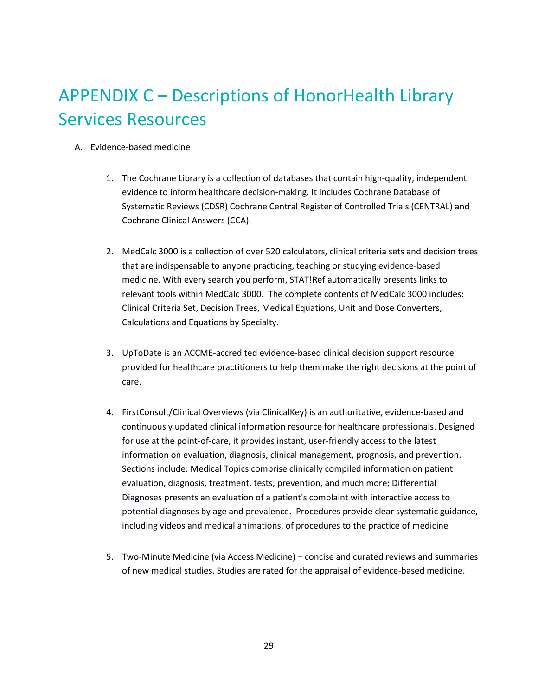# APPENDIX C – Descriptions of HonorHealth Library Services Resources

- A. Evidence-based medicine
	- 1. The Cochrane Library is a collection of databases that contain high-quality, independent evidence to inform healthcare decision-making. It includes Cochrane Database of Systematic Reviews (CDSR) Cochrane Central Register of Controlled Trials (CENTRAL) and Cochrane Clinical Answers (CCA).
	- 2. MedCalc 3000 is a collection of over 520 calculators, clinical criteria sets and decision trees that are indispensable to anyone practicing, teaching or studying evidence-based medicine. With every search you perform, STAT!Ref automatically presents links to relevant tools within MedCalc 3000. The complete contents of MedCalc 3000 includes: Clinical Criteria Set, Decision Trees, Medical Equations, Unit and Dose Converters, Calculations and Equations by Specialty.
	- 3. UpToDate is an ACCME-accredited evidence-based clinical decision support resource provided for healthcare practitioners to help them make the right decisions at the point of care.
	- 4. FirstConsult/Clinical Overviews (via ClinicalKey) is an authoritative, evidence-based and continuously updated clinical information resource for healthcare professionals. Designed for use at the point-of-care, it provides instant, user-friendly access to the latest information on evaluation, diagnosis, clinical management, prognosis, and prevention. Sections include: Medical Topics comprise clinically compiled information on patient evaluation, diagnosis, treatment, tests, prevention, and much more; Differential Diagnoses presents an evaluation of a patient's complaint with interactive access to potential diagnoses by age and prevalence. Procedures provide clear systematic guidance, including videos and medical animations, of procedures to the practice of medicine
	- 5. Two-Minute Medicine (via Access Medicine) concise and curated reviews and summaries of new medical studies. Studies are rated for the appraisal of evidence-based medicine.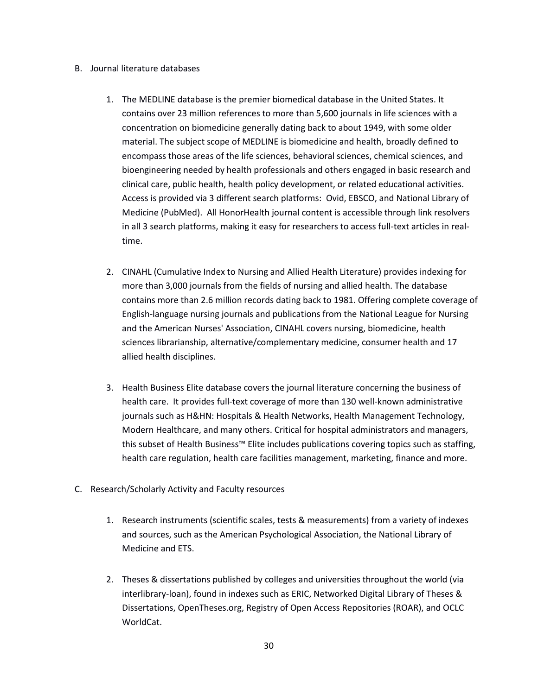#### B. Journal literature databases

- 1. The MEDLINE database is the premier biomedical database in the United States. It contains over 23 million references to more than 5,600 journals in life sciences with a concentration on biomedicine generally dating back to about 1949, with some older material. The subject scope of MEDLINE is biomedicine and health, broadly defined to encompass those areas of the life sciences, behavioral sciences, chemical sciences, and bioengineering needed by health professionals and others engaged in basic research and clinical care, public health, health policy development, or related educational activities. Access is provided via 3 different search platforms: Ovid, EBSCO, and National Library of Medicine (PubMed). All HonorHealth journal content is accessible through link resolvers in all 3 search platforms, making it easy for researchers to access full-text articles in realtime.
- 2. CINAHL (Cumulative Index to Nursing and Allied Health Literature) provides indexing for more than 3,000 journals from the fields of nursing and allied health. The database contains more than 2.6 million records dating back to 1981. Offering complete coverage of English-language nursing journals and publications from the National League for Nursing and the American Nurses' Association, CINAHL covers nursing, biomedicine, health sciences librarianship, alternative/complementary medicine, consumer health and 17 allied health disciplines.
- 3. Health Business Elite database covers the journal literature concerning the business of health care. It provides full-text coverage of more than 130 well-known administrative journals such as H&HN: Hospitals & Health Networks, Health Management Technology, Modern Healthcare, and many others. Critical for hospital administrators and managers, this subset of Health Business™ Elite includes publications covering topics such as staffing, health care regulation, health care facilities management, marketing, finance and more.
- C. Research/Scholarly Activity and Faculty resources
	- 1. Research instruments (scientific scales, tests & measurements) from a variety of indexes and sources, such as the American Psychological Association, the National Library of Medicine and ETS.
	- 2. Theses & dissertations published by colleges and universities throughout the world (via interlibrary-loan), found in indexes such as ERIC, Networked Digital Library of Theses & Dissertations, OpenTheses.org, Registry of Open Access Repositories (ROAR), and OCLC WorldCat.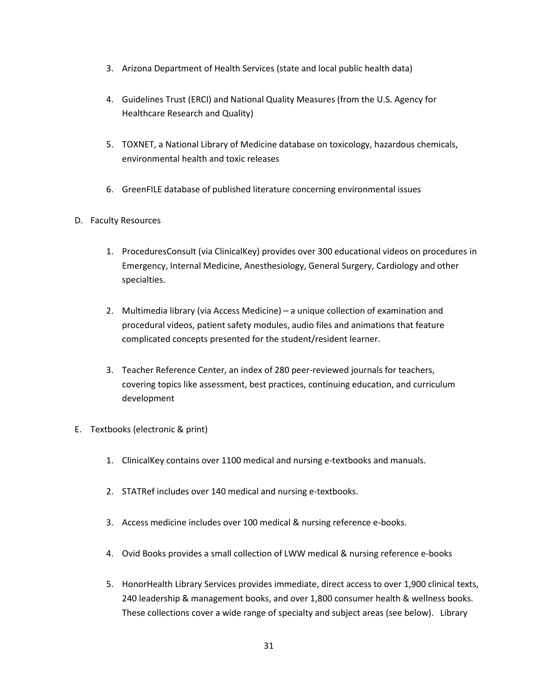- 3. Arizona Department of Health Services (state and local public health data)
- 4. Guidelines Trust (ERCI) and National Quality Measures (from the U.S. Agency for Healthcare Research and Quality)
- 5. TOXNET, a National Library of Medicine database on toxicology, hazardous chemicals, environmental health and toxic releases
- 6. GreenFILE database of published literature concerning environmental issues

#### D. Faculty Resources

- 1. ProceduresConsult (via ClinicalKey) provides over 300 educational videos on procedures in Emergency, Internal Medicine, Anesthesiology, General Surgery, Cardiology and other specialties.
- 2. Multimedia library (via Access Medicine) a unique collection of examination and procedural videos, patient safety modules, audio files and animations that feature complicated concepts presented for the student/resident learner.
- 3. Teacher Reference Center, an index of 280 peer-reviewed journals for teachers, covering topics like assessment, best practices, continuing education, and curriculum development
- E. Textbooks (electronic & print)
	- 1. ClinicalKey contains over 1100 medical and nursing e-textbooks and manuals.
	- 2. STATRef includes over 140 medical and nursing e-textbooks.
	- 3. Access medicine includes over 100 medical & nursing reference e-books.
	- 4. Ovid Books provides a small collection of LWW medical & nursing reference e-books
	- 5. HonorHealth Library Services provides immediate, direct access to over 1,900 clinical texts, 240 leadership & management books, and over 1,800 consumer health & wellness books. These collections cover a wide range of specialty and subject areas (see below). Library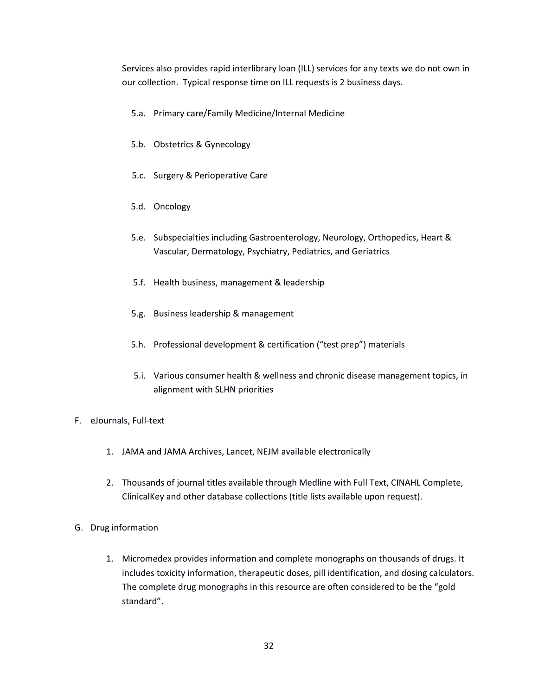Services also provides rapid interlibrary loan (ILL) services for any texts we do not own in our collection. Typical response time on ILL requests is 2 business days.

- 5.a. Primary care/Family Medicine/Internal Medicine
- 5.b. Obstetrics & Gynecology
- 5.c. Surgery & Perioperative Care
- 5.d. Oncology
- 5.e. Subspecialties including Gastroenterology, Neurology, Orthopedics, Heart & Vascular, Dermatology, Psychiatry, Pediatrics, and Geriatrics
- 5.f. Health business, management & leadership
- 5.g. Business leadership & management
- 5.h. Professional development & certification ("test prep") materials
- 5.i. Various consumer health & wellness and chronic disease management topics, in alignment with SLHN priorities
- F. eJournals, Full-text
	- 1. JAMA and JAMA Archives, Lancet, NEJM available electronically
	- 2. Thousands of journal titles available through Medline with Full Text, CINAHL Complete, ClinicalKey and other database collections (title lists available upon request).
- G. Drug information
	- 1. Micromedex provides information and complete monographs on thousands of drugs. It includes toxicity information, therapeutic doses, pill identification, and dosing calculators. The complete drug monographs in this resource are often considered to be the "gold standard".